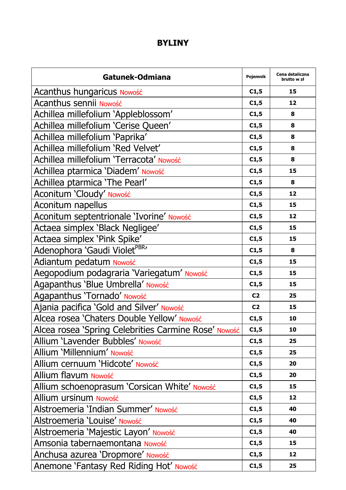## **BYLINY**

| Gatunek-Odmiana                                      | Pojemnik       | Cena detaliczna<br>brutto w zł |
|------------------------------------------------------|----------------|--------------------------------|
| Acanthus hungaricus Nowość                           | C1,5           | 15                             |
| Acanthus sennii Nowość                               | C1,5           | 12                             |
| Achillea millefolium 'Appleblossom'                  | C1,5           | 8                              |
| Achillea millefolium 'Cerise Queen'                  | C1,5           | 8                              |
| Achillea millefolium 'Paprika'                       | C1,5           | 8                              |
| Achillea millefolium 'Red Velvet'                    | C1,5           | 8                              |
| Achillea millefolium 'Terracota' Nowość              | C1,5           | 8                              |
| Achillea ptarmica 'Diadem' Nowość                    | C1,5           | 15                             |
| Achillea ptarmica 'The Pearl'                        | C1,5           | 8                              |
| Aconitum 'Cloudy' Nowość                             | C1,5           | 12                             |
| Aconitum napellus                                    | C1,5           | 15                             |
| Aconitum septentrionale 'Ivorine' Nowość             | C1,5           | 12                             |
| Actaea simplex 'Black Negligee'                      | C1,5           | 15                             |
| Actaea simplex 'Pink Spike'                          | C1,5           | 15                             |
| Adenophora 'Gaudi Violet <sup>PBR</sup> '            | C1,5           | 8                              |
| Adiantum pedatum Nowość                              | C1,5           | 15                             |
| Aegopodium podagraria 'Variegatum' Nowość            | C1,5           | 15                             |
| Agapanthus 'Blue Umbrella' Nowość                    | C1,5           | 15                             |
| Agapanthus 'Tornado' Nowość                          | C <sub>2</sub> | 25                             |
| Ajania pacifica 'Gold and Silver' Nowość             | C <sub>2</sub> | 15                             |
| Alcea rosea 'Chaters Double Yellow' Nowość           | C1,5           | 10                             |
| Alcea rosea 'Spring Celebrities Carmine Rose' Nowość | C1,5           | 10                             |
| Allium 'Lavender Bubbles' Nowość                     | C1,5           | 25                             |
| Allium 'Millennium' Nowość                           | C1,5           | 25                             |
| Allium cernuum 'Hidcote' Nowość                      | C1,5           | 20                             |
| Allium flavum Nowość                                 | C1,5           | 20                             |
| Allium schoenoprasum 'Corsican White' Nowość         | C1,5           | 15                             |
| Allium ursinum Nowość                                | C1,5           | 12                             |
| Alstroemeria 'Indian Summer' Nowość                  | C1,5           | 40                             |
| Alstroemeria 'Louise' Nowość                         | C1,5           | 40                             |
| Alstroemeria 'Majestic Layon' Nowość                 | C1,5           | 40                             |
| Amsonia tabernaemontana Nowość                       | C1,5           | 15                             |
| Anchusa azurea 'Dropmore' Nowość                     | C1,5           | 12                             |
| Anemone 'Fantasy Red Riding Hot' Nowość              | C1,5           | 25                             |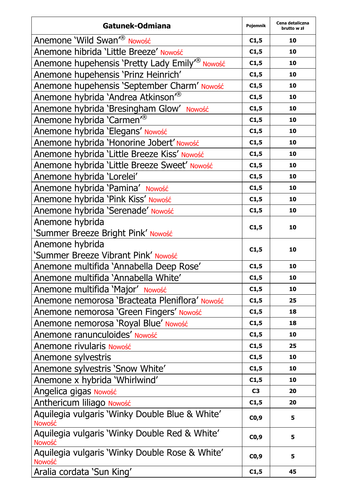| Gatunek-Odmiana                                                | Pojemnik | Cena detaliczna<br>brutto w zł |
|----------------------------------------------------------------|----------|--------------------------------|
| Anemone 'Wild Swan' <sup>®</sup> Nowość                        | C1,5     | 10                             |
| Anemone hibrida 'Little Breeze' Nowość                         | C1,5     | 10                             |
| Anemone hupehensis 'Pretty Lady Emily <sup>r®</sup> Nowość     | C1,5     | 10                             |
| Anemone hupehensis 'Prinz Heinrich'                            | C1,5     | 10                             |
| Anemone hupehensis 'September Charm' Nowość                    | C1,5     | 10                             |
| Anemone hybrida 'Andrea Atkinson <sup>®</sup>                  | C1,5     | 10                             |
| Anemone hybrida 'Bresingham Glow' Nowość                       | C1,5     | 10                             |
| Anemone hybrida 'Carmen' <sup>®</sup>                          | C1,5     | 10                             |
| Anemone hybrida 'Elegans' Nowość                               | C1,5     | 10                             |
| Anemone hybrida 'Honorine Jobert' Nowość                       | C1,5     | 10                             |
| Anemone hybrida 'Little Breeze Kiss' Nowość                    | C1,5     | 10                             |
| Anemone hybrida 'Little Breeze Sweet' Nowość                   | C1,5     | 10                             |
| Anemone hybrida 'Lorelei'                                      | C1,5     | 10                             |
| Anemone hybrida 'Pamina' Nowość                                | C1,5     | 10                             |
| Anemone hybrida 'Pink Kiss' Nowość                             | C1,5     | 10                             |
| Anemone hybrida 'Serenade' Nowość                              | C1,5     | 10                             |
| Anemone hybrida                                                | C1,5     | 10                             |
| 'Summer Breeze Bright Pink' Nowość                             |          |                                |
| Anemone hybrida                                                | C1,5     | 10                             |
| 'Summer Breeze Vibrant Pink' Nowość                            |          |                                |
| Anemone multifida 'Annabella Deep Rose'                        | C1,5     | 10                             |
| Anemone multifida 'Annabella White'                            | C1,5     | 10                             |
| Anemone multifida 'Major' Nowość                               | C1,5     | 10                             |
| Anemone nemorosa 'Bracteata Pleniflora' Nowość                 | C1,5     | 25                             |
| Anemone nemorosa 'Green Fingers' Nowość                        | C1,5     | 18                             |
| Anemone nemorosa 'Royal Blue' Nowość                           | C1,5     | 18                             |
| Anemone ranunculoides' Nowość                                  | C1,5     | 10                             |
| Anemone rivularis Nowość                                       | C1,5     | 25                             |
| Anemone sylvestris                                             | C1,5     | 10                             |
| Anemone sylvestris 'Snow White'                                | C1,5     | 10                             |
| Anemone x hybrida 'Whirlwind'                                  | C1,5     | 10                             |
| Angelica gigas Nowość                                          | C3       | 20                             |
| Anthericum liliago Nowość                                      | C1,5     | 20                             |
| Aquilegia vulgaris 'Winky Double Blue & White'<br>Nowość       | CO,9     | 5                              |
| Aquilegia vulgaris 'Winky Double Red & White'<br><b>Nowość</b> | CO, 9    | 5                              |
| Aquilegia vulgaris 'Winky Double Rose & White'<br>Nowość       | CO,9     | 5                              |
| Aralia cordata 'Sun King'                                      | C1,5     | 45                             |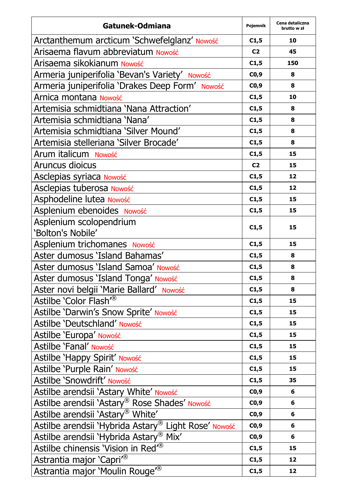| Gatunek-Odmiana                                      | Pojemnik       | Cena detaliczna<br>brutto w zł |
|------------------------------------------------------|----------------|--------------------------------|
| Arctanthemum arcticum 'Schwefelglanz' Nowość         | C1,5           | 10                             |
| Arisaema flavum abbreviatum Nowość                   | C <sub>2</sub> | 45                             |
| Arisaema sikokianum Nowość                           | C1,5           | 150                            |
| Armeria juniperifolia 'Bevan's Variety' Nowość       | CO,9           | 8                              |
| Armeria juniperifolia 'Drakes Deep Form' Nowość      | CO,9           | 8                              |
| Arnica montana Nowość                                | C1,5           | 10                             |
| Artemisia schmidtiana 'Nana Attraction'              | C1,5           | 8                              |
| Artemisia schmidtiana 'Nana'                         | C1,5           | 8                              |
| Artemisia schmidtiana 'Silver Mound'                 | C1,5           | 8                              |
| Artemisia stelleriana 'Silver Brocade'               | C1,5           | 8                              |
| Arum italicum Nowość                                 | C1,5           | 15                             |
| Aruncus dioicus                                      | C <sub>2</sub> | 15                             |
| Asclepias syriaca Nowość                             | C1,5           | 12                             |
| Asclepias tuberosa Nowość                            | C1,5           | 12                             |
| Asphodeline lutea Nowość                             | C1,5           | 15                             |
| Asplenium ebenoides Nowość                           | C1,5           | 15                             |
| Asplenium scolopendrium                              | C1,5           | 15                             |
| 'Bolton's Nobile'                                    |                |                                |
| Asplenium trichomanes Nowość                         | C1,5           | 15                             |
| Aster dumosus 'Island Bahamas'                       | C1,5           | 8                              |
| Aster dumosus 'Island Samoa' Nowość                  | C1,5           | 8                              |
| Aster dumosus 'Island Tonga' Nowość                  | C1,5           | 8                              |
| Aster novi belgii 'Marie Ballard' Nowość             | C1,5           | 8                              |
| Astilbe 'Color Flash <sup>7®</sup>                   | C1,5           | 15                             |
| Astilbe 'Darwin's Snow Sprite' Nowość                | C1,5           | 15                             |
| Astilbe 'Deutschland' Nowość                         | C1,5           | 15                             |
| Astilbe 'Europa' Nowość                              | C1,5           | 15                             |
| Astilbe 'Fanal' Nowość                               | C1,5           | 15                             |
| Astilbe 'Happy Spirit' Nowość                        | C1,5           | 15                             |
| Astilbe 'Purple Rain' Nowość                         | C1,5           | 15                             |
| Astilbe 'Snowdrift' Nowość                           | C1,5           | 35                             |
| Astilbe arendsii 'Astary White' Nowość               | CO,9           | 6                              |
| Astilbe arendsii 'Astary® Rose Shades' Nowość        | CO,9           | 6                              |
| Astilbe arendsii 'Astary® White'                     | CO,9           | 6                              |
| Astilbe arendsii 'Hybrida Astary® Light Rose' Nowość | CO,9           | 6                              |
| Astilbe arendsii 'Hybrida Astary® Mix'               | CO,9           | 6                              |
| Astilbe chinensis 'Vision in Red <sup>7®</sup>       | C1,5           | 15                             |
| Astrantia major 'Capri <sup>®</sup>                  | C1,5           | 12                             |
| Astrantia major 'Moulin Rouge <sup>®</sup>           | C1,5           | 12                             |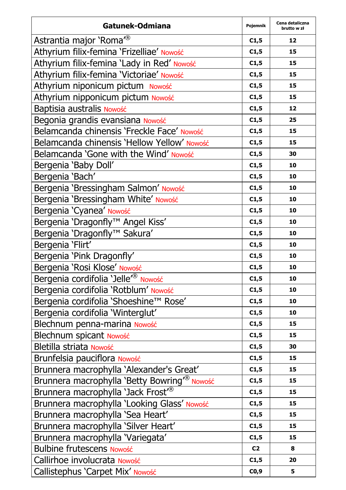| Gatunek-Odmiana                                         | Pojemnik       | Cena detaliczna<br>brutto w zł |
|---------------------------------------------------------|----------------|--------------------------------|
| Astrantia major 'Roma <sup>®</sup>                      | C1,5           | 12                             |
| Athyrium filix-femina 'Frizelliae' Nowość               | C1,5           | 15                             |
| Athyrium filix-femina 'Lady in Red' Nowość              | C1,5           | 15                             |
| Athyrium filix-femina 'Victoriae' Nowość                | C1,5           | 15                             |
| Athyrium niponicum pictum Nowość                        | C1,5           | 15                             |
| Athyrium nipponicum pictum Nowość                       | C1,5           | 15                             |
| Baptisia australis Nowość                               | C1,5           | 12                             |
| Begonia grandis evansiana Nowość                        | C1,5           | 25                             |
| Belamcanda chinensis 'Freckle Face' Nowość              | C1,5           | 15                             |
| Belamcanda chinensis 'Hellow Yellow' Nowość             | C1,5           | 15                             |
| Belamcanda 'Gone with the Wind' Nowość                  | C1,5           | 30                             |
| Bergenia 'Baby Doll'                                    | C1,5           | 10                             |
| Bergenia 'Bach'                                         | C1,5           | 10                             |
| Bergenia 'Bressingham Salmon' Nowość                    | C1,5           | 10                             |
| Bergenia 'Bressingham White' Nowość                     | C1,5           | 10                             |
| Bergenia 'Cyanea' Nowość                                | C1,5           | 10                             |
| Bergenia 'Dragonfly™ Angel Kiss'                        | C1,5           | 10                             |
| Bergenia 'Dragonfly™ Sakura'                            | C1,5           | 10                             |
| Bergenia 'Flirt'                                        | C1,5           | 10                             |
| Bergenia 'Pink Dragonfly'                               | C1,5           | 10                             |
| Bergenia 'Rosi Klose' Nowość                            | C1,5           | 10                             |
| Bergenia cordifolia 'Jelle' <sup>®</sup> Nowość         | C1,5           | 10                             |
| Bergenia cordifolia 'Rotblum' Nowość                    | C1,5           | 10                             |
| Bergenia cordifolia 'Shoeshine™ Rose'                   | C1,5           | 10                             |
| Bergenia cordifolia 'Winterglut'                        | C1,5           | 10                             |
| Blechnum penna-marina Nowość                            | C1,5           | 15                             |
| Blechnum spicant Nowość                                 | C1,5           | 15                             |
| Bletilla striata Nowość                                 | C1,5           | 30                             |
| Brunfelsia pauciflora Nowość                            | C1,5           | 15                             |
| Brunnera macrophylla 'Alexander's Great'                | C1,5           | 15                             |
| Brunnera macrophylla 'Betty Bowring <sup>®</sup> Nowość | C1,5           | 15                             |
| Brunnera macrophylla 'Jack Frost <sup>®</sup>           | C1,5           | 15                             |
| Brunnera macrophylla 'Looking Glass' Nowość             | C1,5           | 15                             |
| Brunnera macrophylla 'Sea Heart'                        | C1,5           | 15                             |
| Brunnera macrophylla 'Silver Heart'                     | C1,5           | 15                             |
| Brunnera macrophylla 'Variegata'                        | C1,5           | 15                             |
| <b>Bulbine frutescens Nowość</b>                        | C <sub>2</sub> | 8                              |
| Callirhoe involucrata Nowość                            | C1,5           | 20                             |
| Callistephus 'Carpet Mix' Nowość                        | C0,9           | 5                              |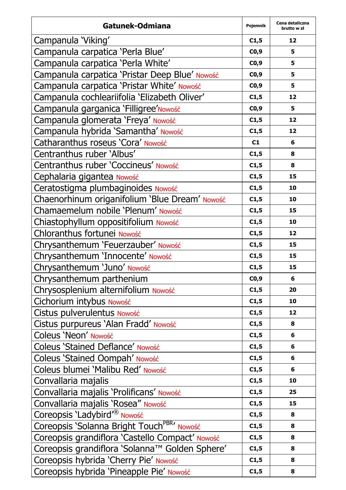| Gatunek-Odmiana                                         | Pojemnik | Cena detaliczna<br>brutto w zł |
|---------------------------------------------------------|----------|--------------------------------|
| Campanula 'Viking'                                      | C1,5     | 12                             |
| Campanula carpatica 'Perla Blue'                        | CO,9     | 5                              |
| Campanula carpatica 'Perla White'                       | CO,9     | 5                              |
| Campanula carpatica 'Pristar Deep Blue' Nowość          | CO,9     | 5                              |
| Campanula carpatica 'Pristar White' Nowość              | CO,9     | 5                              |
| Campanula cochleariifolia 'Elizabeth Oliver'            | C1,5     | 12                             |
| Campanula garganica 'Filligree' Nowość                  | CO,9     | 5                              |
| Campanula glomerata 'Freya' Nowość                      | C1,5     | 12                             |
| Campanula hybrida 'Samantha' Nowość                     | C1,5     | 12                             |
| Catharanthus roseus 'Cora' Nowość                       | C1       | 6                              |
| Centranthus ruber 'Albus'                               | C1,5     | 8                              |
| Centranthus ruber 'Coccineus' Nowość                    | C1,5     | 8                              |
| Cephalaria gigantea Nowość                              | C1,5     | 15                             |
| Ceratostigma plumbaginoides Nowość                      | C1,5     | 10                             |
| Chaenorhinum origanifolium 'Blue Dream' Nowość          | C1,5     | 10                             |
| Chamaemelum nobile 'Plenum' Nowość                      | C1,5     | 15                             |
| Chiastophyllum oppositifolium Nowość                    | C1,5     | 10                             |
| Chloranthus fortunei Nowość                             | C1,5     | 12                             |
| Chrysanthemum 'Feuerzauber' Nowość                      | C1,5     | 15                             |
| Chrysanthemum 'Innocente' Nowość                        | C1,5     | 15                             |
| Chrysanthemum 'Juno' Nowość                             | C1,5     | 15                             |
| Chrysanthemum parthenium                                | CO,9     | 6                              |
| Chrysosplenium alternifolium Nowość                     | C1,5     | 20                             |
| Cichorium intybus Nowość                                | C1,5     | 10                             |
| Cistus pulverulentus Nowość                             | C1,5     | 12                             |
| Cistus purpureus 'Alan Fradd' Nowość                    | C1,5     | 8                              |
| Coleus 'Neon' Nowość                                    | C1,5     | 6                              |
| Coleus 'Stained Deflance' Nowość                        | C1,5     | 6                              |
| Coleus 'Stained Oompah' Nowość                          | C1,5     | 6                              |
| Coleus blumei 'Malibu Red' Nowość                       | C1,5     | 6                              |
| Convallaria majalis                                     | C1,5     | 10                             |
| Convallaria majalis 'Prolificans' Nowość                | C1,5     | 25                             |
| Convallaria majalis 'Rosea" Nowość                      | C1,5     | 15                             |
| Coreopsis 'Ladybird' <sup>®</sup> Nowość                | C1,5     | 8                              |
| Coreopsis 'Solanna Bright Touch <sup>PBR</sup> ' Nowość | C1,5     | 8                              |
| Coreopsis grandiflora 'Castello Compact' Nowość         | C1,5     | 8                              |
| Coreopsis grandiflora 'Solanna™ Golden Sphere'          | C1,5     | 8                              |
| Coreopsis hybrida 'Cherry Pie' Nowość                   | C1,5     | 8                              |
| Coreopsis hybrida 'Pineapple Pie' Nowość                | C1,5     | 8                              |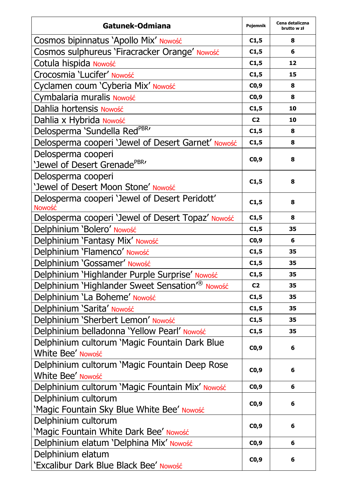| Gatunek-Odmiana                                             | Pojemnik       | Cena detaliczna<br>brutto w zł |
|-------------------------------------------------------------|----------------|--------------------------------|
| Cosmos bipinnatus 'Apollo Mix' Nowość                       | C1,5           | 8                              |
| Cosmos sulphureus 'Firacracker Orange' Nowość               | C1,5           | 6                              |
| Cotula hispida Nowość                                       | C1,5           | 12                             |
| Crocosmia 'Lucifer' Nowość                                  | C1,5           | 15                             |
| Cyclamen coum 'Cyberia Mix' Nowość                          | CO,9           | 8                              |
| Cymbalaria muralis Nowość                                   | CO,9           | 8                              |
| Dahlia hortensis Nowość                                     | C1,5           | 10                             |
| Dahlia x Hybrida Nowość                                     | C <sub>2</sub> | 10                             |
| Delosperma 'Sundella RedPBR'                                | C1,5           | 8                              |
| Delosperma cooperi 'Jewel of Desert Garnet' Nowość          | C1,5           | 8                              |
| Delosperma cooperi                                          | CO,9           | 8                              |
| 'Jewel of Desert Grenade <sup>PBR</sup> '                   |                |                                |
| Delosperma cooperi                                          | C1,5           | 8                              |
| 'Jewel of Desert Moon Stone' Nowość                         |                |                                |
| Delosperma cooperi 'Jewel of Desert Peridott'               | C1,5           | 8                              |
| Nowość                                                      |                |                                |
| Delosperma cooperi 'Jewel of Desert Topaz' Nowość           | C1,5           | 8                              |
| Delphinium 'Bolero' Nowość                                  | C1,5           | 35                             |
| Delphinium 'Fantasy Mix' Nowość                             | CO,9           | 6                              |
| Delphinium 'Flamenco' Nowość                                | C1,5           | 35                             |
| Delphinium 'Gossamer' Nowość                                | C1,5           | 35                             |
| Delphinium 'Highlander Purple Surprise' Nowość              | C1,5           | 35                             |
| Delphinium 'Highlander Sweet Sensation <sup>®</sup> Nowość  | C <sub>2</sub> | 35                             |
| Delphinium 'La Boheme' Nowość                               | C1,5           | 35                             |
| Delphinium 'Sarita' Nowość                                  | C1,5           | 35                             |
| Delphinium 'Sherbert Lemon' Nowość                          | C1,5           | 35                             |
| Delphinium belladonna 'Yellow Pearl' Nowość                 | C1,5           | 35                             |
| Delphinium cultorum 'Magic Fountain Dark Blue               | CO,9           | 6                              |
| White Bee' Nowość                                           |                |                                |
| Delphinium cultorum 'Magic Fountain Deep Rose               | CO,9           | 6                              |
| White Bee' Nowość                                           |                |                                |
| Delphinium cultorum 'Magic Fountain Mix' Nowość             | C0,9           | 6                              |
| Delphinium cultorum                                         | CO,9           | 6                              |
| 'Magic Fountain Sky Blue White Bee' Nowość                  |                |                                |
| Delphinium cultorum                                         | CO,9           | 6                              |
| 'Magic Fountain White Dark Bee' Nowość                      |                |                                |
| Delphinium elatum 'Delphina Mix' Nowość                     | CO,9           | 6                              |
| Delphinium elatum<br>'Excalibur Dark Blue Black Bee' Nowość | CO,9           | 6                              |
|                                                             |                |                                |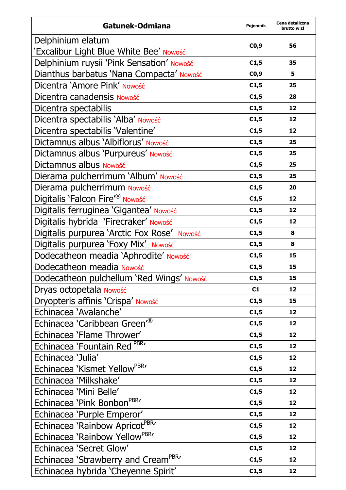| Gatunek-Odmiana                                  | Pojemnik | Cena detaliczna<br>brutto w zł |
|--------------------------------------------------|----------|--------------------------------|
| Delphinium elatum                                |          |                                |
| 'Excalibur Light Blue White Bee' Nowość          | CO,9     | 56                             |
| Delphinium ruysii 'Pink Sensation' Nowość        | C1,5     | 35                             |
| Dianthus barbatus 'Nana Compacta' Nowość         | CO,9     | 5                              |
| Dicentra 'Amore Pink' Nowość                     | C1,5     | 25                             |
| Dicentra canadensis Nowość                       | C1,5     | 28                             |
| Dicentra spectabilis                             | C1,5     | 12                             |
| Dicentra spectabilis 'Alba' Nowość               | C1,5     | 12                             |
| Dicentra spectabilis 'Valentine'                 | C1,5     | 12                             |
| Dictamnus albus 'Albiflorus' Nowość              | C1,5     | 25                             |
| Dictamnus albus 'Purpureus' Nowość               | C1,5     | 25                             |
| Dictamnus albus Nowość                           | C1,5     | 25                             |
| Dierama pulcherrimum 'Album' Nowość              | C1,5     | 25                             |
| Dierama pulcherrimum Nowość                      | C1,5     | 20                             |
| Digitalis 'Falcon Fire' <sup>®</sup> Nowość      | C1,5     | 12                             |
| Digitalis ferruginea 'Gigantea' Nowość           | C1,5     | 12                             |
| Digitalis hybrida 'Firecraker' Nowość            | C1,5     | 12                             |
| Digitalis purpurea 'Arctic Fox Rose' Nowość      | C1,5     | 8                              |
| Digitalis purpurea 'Foxy Mix' Nowość             | C1,5     | 8                              |
| Dodecatheon meadia 'Aphrodite' Nowość            | C1,5     | 15                             |
| Dodecatheon meadia Nowość                        | C1,5     | 15                             |
| Dodecatheon pulchellum 'Red Wings' Nowość        | C1,5     | 15                             |
| Dryas octopetala Nowość                          | C1       | 12                             |
| Dryopteris affinis 'Crispa' Nowość               | C1,5     | 15                             |
| Echinacea 'Avalanche'                            | C1,5     | 12                             |
| Echinacea 'Caribbean Green <sup>7®</sup>         | C1,5     | 12                             |
| Echinacea 'Flame Thrower'                        | C1,5     | 12                             |
| Echinacea 'Fountain Red PBR'                     | C1,5     | 12                             |
| Echinacea 'Julia'                                | C1,5     | 12                             |
| Echinacea 'Kismet Yellow <sup>PBR</sup> '        | C1,5     | 12                             |
| Echinacea 'Milkshake'                            | C1,5     | 12                             |
| Echinacea 'Mini Belle'                           | C1,5     | 12                             |
| Echinacea 'Pink Bonbon <sup>PBR</sup> '          | C1,5     | 12                             |
| Echinacea 'Purple Emperor'                       | C1,5     | 12                             |
| Echinacea 'Rainbow Apricot <sup>PBR</sup> '      | C1,5     | 12                             |
| Echinacea 'Rainbow Yellow <sup>PBR</sup> '       | C1,5     | 12                             |
| Echinacea 'Secret Glow'                          | C1,5     | 12                             |
| Echinacea 'Strawberry and Cream <sup>PBR</sup> ' | C1,5     | 12                             |
| Echinacea hybrida 'Cheyenne Spirit'              | C1,5     | 12                             |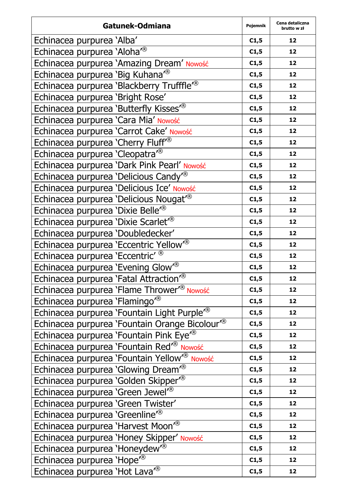| Gatunek-Odmiana                                           | Pojemnik | Cena detaliczna<br>brutto w zł |
|-----------------------------------------------------------|----------|--------------------------------|
| Echinacea purpurea 'Alba'                                 | C1,5     | 12                             |
| Echinacea purpurea 'Aloha <sup>®</sup>                    | C1,5     | 12                             |
| Echinacea purpurea 'Amazing Dream' Nowość                 | C1,5     | 12                             |
| Echinacea purpurea 'Big Kuhana <sup>"®</sup>              | C1,5     | 12                             |
| Echinacea purpurea 'Blackberry Trufffle <sup>r®</sup>     | C1,5     | 12                             |
| Echinacea purpurea 'Bright Rose'                          | C1,5     | 12                             |
| Echinacea purpurea 'Butterfly Kisses <sup>®</sup>         | C1,5     | 12                             |
| Echinacea purpurea 'Cara Mia' Nowość                      | C1,5     | 12                             |
| Echinacea purpurea 'Carrot Cake' Nowość                   | C1,5     | 12                             |
| Echinacea purpurea 'Cherry Fluff <sup>®</sup>             | C1,5     | 12                             |
| Echinacea purpurea 'Cleopatra <sup>®</sup>                | C1,5     | 12                             |
| Echinacea purpurea 'Dark Pink Pearl' Nowość               | C1,5     | 12                             |
| Echinacea purpurea 'Delicious Candy <sup>®</sup>          | C1,5     | 12                             |
| Echinacea purpurea 'Delicious Ice' Nowość                 | C1,5     | 12                             |
| Echinacea purpurea 'Delicious Nougat <sup>®</sup>         | C1,5     | 12                             |
| Echinacea purpurea 'Dixie Belle <sup>®</sup>              | C1,5     | 12                             |
| Echinacea purpurea 'Dixie Scarlet <sup>"®</sup>           | C1,5     | 12                             |
| Echinacea purpurea 'Doubledecker'                         | C1,5     | 12                             |
| Echinacea purpurea 'Eccentric Yellow <sup>®</sup>         | C1,5     | 12                             |
| Echinacea purpurea 'Eccentric' ®                          | C1,5     | 12                             |
| Echinacea purpurea 'Evening Glow <sup>®</sup>             | C1,5     | 12                             |
| Echinacea purpurea 'Fatal Attraction <sup>®</sup>         | C1,5     | 12                             |
| Echinacea purpurea 'Flame Thrower <sup>®</sup> Nowość     | C1,5     | 12                             |
| Echinacea purpurea 'Flamingo <sup>®</sup>                 | C1,5     | 12                             |
| Echinacea purpurea 'Fountain Light Purple <sup>®</sup>    | C1,5     | 12                             |
| Echinacea purpurea 'Fountain Orange Bicolour <sup>®</sup> | C1,5     | 12                             |
| Echinacea purpurea 'Fountain Pink Eye <sup>®</sup>        | C1,5     | 12                             |
| Echinacea purpurea 'Fountain Red <sup>®</sup> Nowość      | C1,5     | 12                             |
| Echinacea purpurea 'Fountain Yellow <sup>®</sup> Nowość   | C1,5     | 12                             |
| Echinacea purpurea 'Glowing Dream <sup>®</sup>            | C1,5     | 12                             |
| Echinacea purpurea 'Golden Skipper <sup>®</sup>           | C1,5     | 12                             |
| Echinacea purpurea 'Green Jewel' <sup>®</sup>             | C1,5     | 12                             |
| Echinacea purpurea 'Green Twister'                        | C1,5     | 12                             |
| Echinacea purpurea 'Greenline <sup>®</sup>                | C1,5     | 12                             |
| Echinacea purpurea 'Harvest Moon <sup>®</sup>             | C1,5     | 12                             |
| Echinacea purpurea 'Honey Skipper' Nowość                 | C1,5     | 12                             |
| Echinacea purpurea 'Honeydew <sup>®</sup>                 | C1,5     | 12                             |
| Echinacea purpurea 'Hope <sup>7®</sup>                    | C1,5     | 12                             |
| Echinacea purpurea 'Hot Lava <sup>7®</sup>                | C1,5     | 12                             |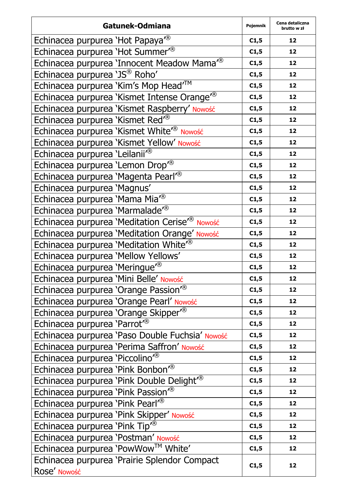| Gatunek-Odmiana                                              | Pojemnik | Cena detaliczna<br>brutto w zł |
|--------------------------------------------------------------|----------|--------------------------------|
| Echinacea purpurea 'Hot Papaya <sup>7®</sup>                 | C1,5     | 12                             |
| Echinacea purpurea 'Hot Summer <sup>®</sup>                  | C1,5     | 12                             |
| Echinacea purpurea 'Innocent Meadow Mama <sup>7®</sup>       | C1,5     | 12                             |
| Echinacea purpurea 'JS® Roho'                                | C1,5     | 12                             |
| Echinacea purpurea 'Kim's Mop Head <sup>™</sup>              | C1,5     | 12                             |
| Echinacea purpurea 'Kismet Intense Orange <sup>r®</sup>      | C1,5     | 12                             |
| Echinacea purpurea 'Kismet Raspberry' Nowość                 | C1,5     | 12                             |
| Echinacea purpurea 'Kismet Red <sup>®</sup>                  | C1,5     | 12                             |
| Echinacea purpurea 'Kismet White <sup>®</sup> Nowość         | C1,5     | 12                             |
| Echinacea purpurea 'Kismet Yellow' Nowość                    | C1,5     | 12                             |
| Echinacea purpurea 'Leilanii <sup>r®</sup>                   | C1,5     | 12                             |
| Echinacea purpurea 'Lemon Drop <sup>®</sup>                  | C1,5     | 12                             |
| Echinacea purpurea 'Magenta Pearl'®                          | C1,5     | 12                             |
| Echinacea purpurea 'Magnus'                                  | C1,5     | 12                             |
| Echinacea purpurea 'Mama Mia <sup>®</sup>                    | C1,5     | 12                             |
| Echinacea purpurea 'Marmalade <sup>®</sup>                   | C1,5     | 12                             |
| Echinacea purpurea 'Meditation Cerise <sup>r®</sup> Nowość   | C1,5     | 12                             |
| Echinacea purpurea 'Meditation Orange' Nowość                | C1,5     | 12                             |
| Echinacea purpurea 'Meditation White <sup>®</sup>            | C1,5     | 12                             |
| Echinacea purpurea 'Mellow Yellows'                          | C1,5     | 12                             |
| Echinacea purpurea 'Meringue <sup>®</sup>                    | C1,5     | 12                             |
| Echinacea purpurea 'Mini Belle' Nowość                       | C1,5     | 12                             |
| Echinacea purpurea 'Orange Passion <sup>7®</sup>             | C1,5     | 12                             |
| Echinacea purpurea 'Orange Pearl' Nowość                     | C1,5     | 12                             |
| Echinacea purpurea 'Orange Skipper <sup>®</sup>              | C1,5     | 12                             |
| Echinacea purpurea 'Parrot <sup>®</sup>                      | C1,5     | 12                             |
| Echinacea purpurea 'Paso Double Fuchsia' Nowość              | C1,5     | 12                             |
| Echinacea purpurea 'Perima Saffron' Nowość                   | C1,5     | 12                             |
| Echinacea purpurea 'Piccolino"®                              | C1,5     | 12                             |
| Echinacea purpurea 'Pink Bonbon'®                            | C1,5     | 12                             |
| Echinacea purpurea 'Pink Double Delight <sup>®</sup>         | C1,5     | 12                             |
| Echinacea purpurea 'Pink Passion <sup>78</sup>               | C1,5     | 12                             |
| Echinacea purpurea 'Pink Pearl'®                             | C1,5     | 12                             |
| Echinacea purpurea 'Pink Skipper' Nowość                     | C1,5     | 12                             |
| Echinacea purpurea 'Pink Tip <sup>7®</sup>                   | C1,5     | 12                             |
| Echinacea purpurea 'Postman' Nowość                          | C1,5     | 12                             |
| Echinacea purpurea 'PowWow™ White'                           | C1,5     | 12                             |
| Echinacea purpurea 'Prairie Splendor Compact<br>Rose' Nowość | C1,5     | 12                             |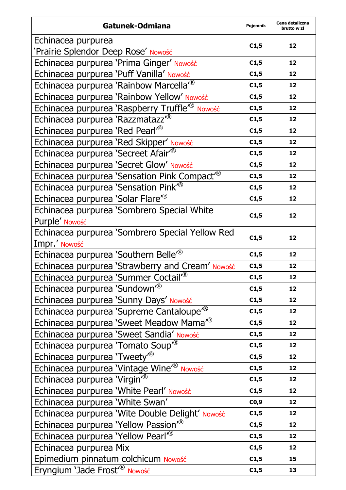| Gatunek-Odmiana                                            | Pojemnik | Cena detaliczna<br>brutto w zł |
|------------------------------------------------------------|----------|--------------------------------|
| Echinacea purpurea                                         |          |                                |
| 'Prairie Splendor Deep Rose' Nowość                        | C1,5     | 12                             |
| Echinacea purpurea 'Prima Ginger' Nowość                   | C1,5     | 12                             |
| Echinacea purpurea 'Puff Vanilla' Nowość                   | C1,5     | 12                             |
| Echinacea purpurea 'Rainbow Marcella <sup>r®</sup>         | C1,5     | 12                             |
| Echinacea purpurea 'Rainbow Yellow' Nowość                 | C1,5     | 12                             |
| Echinacea purpurea 'Raspberry Truffle <sup>r®</sup> Nowość | C1,5     | 12                             |
| Echinacea purpurea 'Razzmatazz <sup>7®</sup>               | C1,5     | 12                             |
| Echinacea purpurea 'Red Pearl <sup>®</sup>                 | C1,5     | 12                             |
| Echinacea purpurea 'Red Skipper' Nowość                    | C1,5     | 12                             |
| Echinacea purpurea 'Secreet Afair <sup>®</sup>             | C1,5     | 12                             |
| Echinacea purpurea 'Secret Glow' Nowość                    | C1,5     | 12                             |
| Echinacea purpurea 'Sensation Pink Compact <sup>®</sup>    | C1,5     | 12                             |
| Echinacea purpurea 'Sensation Pink <sup>®</sup>            | C1,5     | 12                             |
| Echinacea purpurea 'Solar Flare <sup>®</sup>               | C1,5     | 12                             |
| Echinacea purpurea 'Sombrero Special White                 | C1,5     | 12                             |
| Purple' Nowość                                             |          |                                |
| Echinacea purpurea 'Sombrero Special Yellow Red            | C1,5     | 12                             |
| Impr.' Nowość                                              |          |                                |
| Echinacea purpurea 'Southern Belle <sup>®</sup>            | C1,5     | 12                             |
| Echinacea purpurea 'Strawberry and Cream' Nowość           | C1,5     | 12                             |
| Echinacea purpurea 'Summer Coctail <sup>®</sup>            | C1,5     | 12                             |
| Echinacea purpurea 'Sundown' <sup>®</sup>                  | C1,5     | 12                             |
| Echinacea purpurea 'Sunny Days' Nowość                     | C1,5     | 12                             |
| Echinacea purpurea 'Supreme Cantaloupe <sup>r®</sup>       | C1,5     | 12                             |
| Echinacea purpurea 'Sweet Meadow Mama <sup>r®</sup>        | C1,5     | 12                             |
| Echinacea purpurea 'Sweet Sandia' Nowość                   | C1,5     | 12                             |
| Echinacea purpurea 'Tomato Soup <sup>®</sup>               | C1,5     | 12                             |
| Echinacea purpurea 'Tweety <sup>®</sup>                    | C1,5     | 12                             |
| Echinacea purpurea 'Vintage Wine <sup>®</sup> Nowość       | C1,5     | 12                             |
| Echinacea purpurea 'Virgin' <sup>®</sup>                   | C1,5     | 12                             |
| Echinacea purpurea 'White Pearl' Nowość                    | C1,5     | 12                             |
| Echinacea purpurea 'White Swan'                            | CO,9     | 12                             |
| Echinacea purpurea 'Wite Double Delight' Nowość            | C1,5     | 12                             |
| Echinacea purpurea 'Yellow Passion <sup>®</sup>            | C1,5     | 12                             |
| Echinacea purpurea 'Yellow Pearl'®                         | C1,5     | 12                             |
| Echinacea purpurea Mix                                     | C1,5     | 12                             |
| Epimedium pinnatum colchicum Nowość                        | C1,5     | 15                             |
| Eryngium 'Jade Frost <sup>®</sup> Nowość                   | C1,5     | 13                             |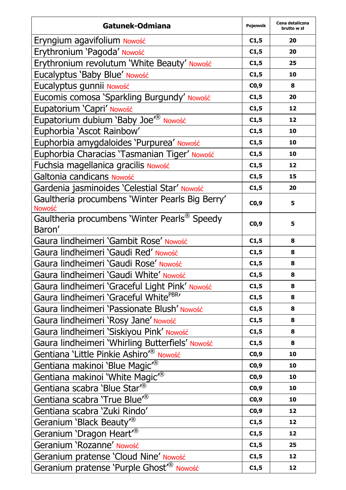| Gatunek-Odmiana                                           | Pojemnik | Cena detaliczna<br>brutto w zł |
|-----------------------------------------------------------|----------|--------------------------------|
| Eryngium agavifolium Nowość                               | C1,5     | 20                             |
| Erythronium 'Pagoda' Nowość                               | C1,5     | 20                             |
| Erythronium revolutum 'White Beauty' Nowość               | C1,5     | 25                             |
| Eucalyptus 'Baby Blue' Nowość                             | C1,5     | 10                             |
| Eucalyptus gunnii Nowość                                  | CO, 9    | 8                              |
| Eucomis comosa 'Sparkling Burgundy' Nowość                | C1,5     | 20                             |
| Eupatorium 'Capri' Nowość                                 | C1,5     | 12                             |
| Eupatorium dubium 'Baby Joe <sup>r®</sup> Nowość          | C1,5     | 12                             |
| Euphorbia 'Ascot Rainbow'                                 | C1,5     | 10                             |
| Euphorbia amygdaloides 'Purpurea' Nowość                  | C1,5     | 10                             |
| Euphorbia Characias 'Tasmanian Tiger' Nowość              | C1,5     | 10                             |
| Fuchsia magellanica gracilis Nowość                       | C1,5     | 12                             |
| Galtonia candicans Nowość                                 | C1,5     | 15                             |
| Gardenia jasminoides 'Celestial Star' Nowość              | C1,5     | 20                             |
| Gaultheria procumbens 'Winter Pearls Big Berry'<br>Nowość | CO,9     | 5                              |
| Gaultheria procumbens 'Winter Pearls® Speedy<br>Baron'    | CO,9     | 5                              |
| Gaura lindheimeri 'Gambit Rose' Nowość                    | C1,5     | 8                              |
| Gaura lindheimeri 'Gaudi Red' Nowość                      | C1,5     | 8                              |
| Gaura lindheimeri 'Gaudi Rose' Nowość                     | C1,5     | 8                              |
| Gaura lindheimeri 'Gaudi White' Nowość                    | C1,5     | 8                              |
| Gaura lindheimeri 'Graceful Light Pink' Nowość            | C1,5     | 8                              |
| Gaura lindheimeri 'Graceful White <sup>PBR</sup> '        | C1,5     | 8                              |
| Gaura lindheimeri 'Passionate Blush' Nowość               | C1,5     | 8                              |
| Gaura lindheimeri 'Rosy Jane' Nowość                      | C1,5     | 8                              |
| Gaura lindheimeri 'Siskiyou Pink' Nowość                  | C1,5     | 8                              |
| Gaura lindheimeri 'Whirling Butterfiels' Nowość           | C1,5     | 8                              |
| Gentiana 'Little Pinkie Ashiro <sup>®</sup> Nowość        | CO, 9    | 10                             |
| Gentiana makinoi 'Blue Magic <sup>®</sup>                 | CO,9     | 10                             |
| Gentiana makinoi 'White Magic <sup>®</sup>                | CO,9     | 10                             |
| Gentiana scabra 'Blue Star" <sup>®</sup>                  | CO,9     | 10                             |
| Gentiana scabra 'True Blue <sup>r®</sup>                  | CO,9     | 10                             |
| Gentiana scabra 'Zuki Rindo'                              | C0,9     | 12                             |
| Geranium 'Black Beauty <sup>®</sup>                       | C1,5     | 12                             |
| Geranium 'Dragon Heart <sup>®</sup>                       | C1,5     | 12                             |
| Geranium 'Rozanne' Nowość                                 | C1,5     | 25                             |
| Geranium pratense 'Cloud Nine' Nowość                     | C1,5     | 12                             |
| Geranium pratense 'Purple Ghost <sup>®</sup> Nowość       | C1,5     | 12                             |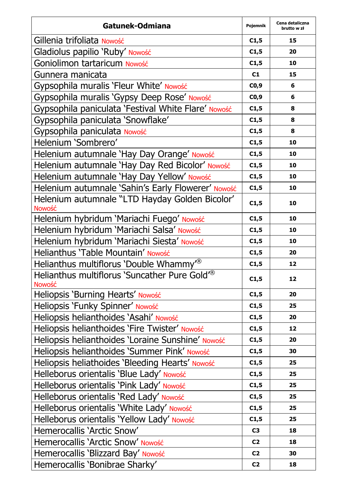| Gatunek-Odmiana                                                    | Pojemnik       | Cena detaliczna<br>brutto w zł |
|--------------------------------------------------------------------|----------------|--------------------------------|
| Gillenia trifoliata Nowość                                         | C1,5           | 15                             |
| Gladiolus papilio 'Ruby' Nowość                                    | C1,5           | 20                             |
| Goniolimon tartaricum Nowość                                       | C1,5           | 10                             |
| Gunnera manicata                                                   | C1             | 15                             |
| Gypsophila muralis 'Fleur White' Nowość                            | CO,9           | 6                              |
| Gypsophila muralis 'Gypsy Deep Rose' Nowość                        | CO,9           | 6                              |
| Gypsophila paniculata 'Festival White Flare' Nowość                | C1,5           | 8                              |
| Gypsophila paniculata 'Snowflake'                                  | C1,5           | 8                              |
| Gypsophila paniculata Nowość                                       | C1,5           | 8                              |
| Helenium 'Sombrero'                                                | C1,5           | 10                             |
| Helenium autumnale 'Hay Day Orange' Nowość                         | C1,5           | 10                             |
| Helenium autumnale 'Hay Day Red Bicolor' Nowość                    | C1,5           | 10                             |
| Helenium autumnale 'Hay Day Yellow' Nowość                         | C1,5           | 10                             |
| Helenium autumnale 'Sahin's Early Flowerer' Nowość                 | C1,5           | 10                             |
| Helenium autumnale "LTD Hayday Golden Bicolor'<br>Nowość           | C1,5           | 10                             |
| Helenium hybridum 'Mariachi Fuego' Nowość                          | C1,5           | 10                             |
| Helenium hybridum 'Mariachi Salsa' Nowość                          | C1,5           | 10                             |
| Helenium hybridum 'Mariachi Siesta' Nowość                         | C1,5           | 10                             |
| Helianthus 'Table Mountain' Nowość                                 | C1,5           | 20                             |
| Helianthus multiflorus 'Double Whammy <sup>®</sup>                 | C1,5           | 12                             |
| Helianthus multiflorus 'Suncather Pure Gold <sup>®</sup><br>Nowość | C1,5           | 12                             |
| Heliopsis 'Burning Hearts' Nowość                                  | C1,5           | 20                             |
| Heliopsis 'Funky Spinner' Nowość                                   | C1,5           | 25                             |
| Heliopsis helianthoides 'Asahi' Nowość                             | C1,5           | 20                             |
| Heliopsis helianthoides 'Fire Twister' Nowość                      | C1,5           | 12                             |
| Heliopsis helianthoides 'Loraine Sunshine' Nowość                  | C1,5           | 20                             |
| Heliopsis helianthoides 'Summer Pink' Nowość                       | C1,5           | 30                             |
| Heliopsis heliathoides 'Bleeding Hearts' Nowość                    | C1,5           | 25                             |
| Helleborus orientalis 'Blue Lady' Nowość                           | C1,5           | 25                             |
| Helleborus orientalis 'Pink Lady' Nowość                           | C1,5           | 25                             |
| Helleborus orientalis 'Red Lady' Nowość                            | C1,5           | 25                             |
| Helleborus orientalis 'White Lady' Nowość                          | C1,5           | 25                             |
| Helleborus orientalis 'Yellow Lady' Nowość                         | C1,5           | 25                             |
| Hemerocallis 'Arctic Snow'                                         | C3             | 18                             |
| Hemerocallis 'Arctic Snow' Nowość                                  | C2             | 18                             |
| Hemerocallis 'Blizzard Bay' Nowość                                 | C <sub>2</sub> | 30                             |
| Hemerocallis 'Bonibrae Sharky'                                     | C <sub>2</sub> | 18                             |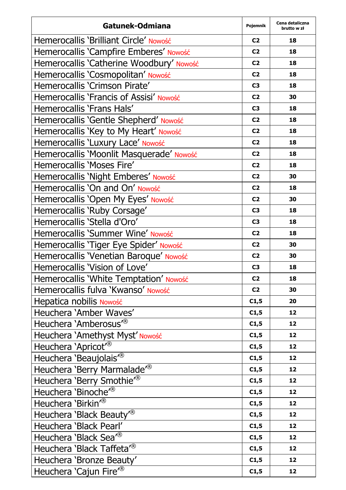| Gatunek-Odmiana                          | Pojemnik       | Cena detaliczna<br>brutto w zł |
|------------------------------------------|----------------|--------------------------------|
| Hemerocallis 'Brilliant Circle' Nowość   | C <sub>2</sub> | 18                             |
| Hemerocallis 'Campfire Emberes' Nowość   | C <sub>2</sub> | 18                             |
| Hemerocallis 'Catherine Woodbury' Nowość | C <sub>2</sub> | 18                             |
| Hemerocallis 'Cosmopolitan' Nowość       | C <sub>2</sub> | 18                             |
| Hemerocallis 'Crimson Pirate'            | C3             | 18                             |
| Hemerocallis 'Francis of Assisi' Nowość  | C <sub>2</sub> | 30                             |
| Hemerocallis 'Frans Hals'                | C3             | 18                             |
| Hemerocallis 'Gentle Shepherd' Nowość    | C <sub>2</sub> | 18                             |
| Hemerocallis 'Key to My Heart' Nowość    | C <sub>2</sub> | 18                             |
| Hemerocallis 'Luxury Lace' Nowość        | C <sub>2</sub> | 18                             |
| Hemerocallis 'Moonlit Masquerade' Nowość | C <sub>2</sub> | 18                             |
| Hemerocallis 'Moses Fire'                | C <sub>2</sub> | 18                             |
| Hemerocallis 'Night Emberes' Nowość      | C <sub>2</sub> | 30                             |
| Hemerocallis 'On and On' Nowość          | C <sub>2</sub> | 18                             |
| Hemerocallis 'Open My Eyes' Nowość       | C <sub>2</sub> | 30                             |
| Hemerocallis 'Ruby Corsage'              | C3             | 18                             |
| Hemerocallis 'Stella d'Oro'              | C3             | 18                             |
| Hemerocallis 'Summer Wine' Nowość        | C <sub>2</sub> | 18                             |
| Hemerocallis 'Tiger Eye Spider' Nowość   | C <sub>2</sub> | 30                             |
| Hemerocallis 'Venetian Baroque' Nowość   | C <sub>2</sub> | 30                             |
| Hemerocallis 'Vision of Love'            | C <sub>3</sub> | 18                             |
| Hemerocallis 'White Temptation' Nowość   | C <sub>2</sub> | 18                             |
| Hemerocallis fulva 'Kwanso' Nowość       | C <sub>2</sub> | 30                             |
| Hepatica nobilis Nowość                  | C1,5           | 20                             |
| Heuchera 'Amber Waves'                   | C1,5           | 12                             |
| Heuchera 'Amberosus <sup>"®</sup>        | C1,5           | 12                             |
| Heuchera 'Amethyst Myst' Nowość          | C1,5           | 12                             |
| Heuchera 'Apricot <sup>®</sup>           | C1,5           | 12                             |
| Heuchera 'Beaujolais <sup>®</sup>        | C1,5           | 12                             |
| Heuchera 'Berry Marmalade <sup>®</sup>   | C1,5           | 12                             |
| Heuchera 'Berry Smothie <sup>®</sup>     | C1,5           | 12                             |
| Heuchera 'Binoche <sup>®</sup>           | C1,5           | 12                             |
| Heuchera 'Birkin <sup>®</sup>            | C1,5           | 12                             |
| Heuchera 'Black Beauty' <sup>®</sup>     | C1,5           | 12                             |
| Heuchera 'Black Pearl'                   | C1,5           | 12                             |
| Heuchera 'Black Sea <sup>r®</sup>        | C1,5           | 12                             |
| Heuchera 'Black Taffeta <sup>®</sup>     | C1,5           | 12                             |
| Heuchera 'Bronze Beauty'                 | C1,5           | 12                             |
| Heuchera 'Cajun Fire <sup>®</sup>        | C1,5           | 12                             |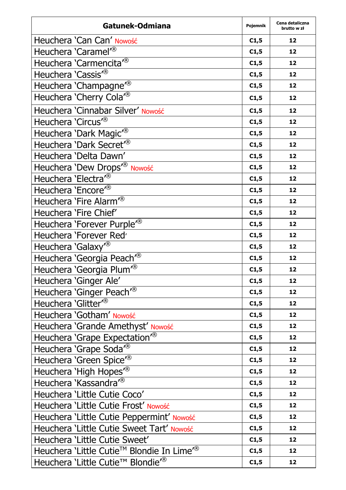| Gatunek-Odmiana                                       | Pojemnik | Cena detaliczna<br>brutto w zł |
|-------------------------------------------------------|----------|--------------------------------|
| Heuchera 'Can Can' Nowość                             | C1,5     | 12                             |
| Heuchera 'Caramel <sup>7®</sup>                       | C1,5     | 12                             |
| Heuchera 'Carmencita <sup>7®</sup>                    | C1,5     | 12                             |
| Heuchera 'Cassis <sup>"®</sup>                        | C1,5     | 12                             |
| Heuchera 'Champagne <sup>78</sup>                     | C1,5     | 12                             |
| Heuchera 'Cherry Cola <sup>7®</sup>                   | C1,5     | 12                             |
| Heuchera 'Cinnabar Silver' Nowość                     | C1,5     | 12                             |
| Heuchera 'Circus <sup>"®</sup>                        | C1,5     | 12                             |
| Heuchera 'Dark Magic <sup>®</sup>                     | C1,5     | 12                             |
| Heuchera 'Dark Secret <sup>7®</sup>                   | C1,5     | 12                             |
| Heuchera 'Delta Dawn'                                 | C1,5     | 12                             |
| Heuchera 'Dew Drops <sup>"®</sup> Nowość              | C1,5     | 12                             |
| Heuchera 'Electra <sup>®</sup>                        | C1,5     | 12                             |
| Heuchera 'Encore <sup>r®</sup>                        | C1,5     | 12                             |
| Heuchera 'Fire Alarm <sup>7®</sup>                    | C1,5     | 12                             |
| Heuchera 'Fire Chief'                                 | C1,5     | 12                             |
| Heuchera 'Forever Purple <sup>"®</sup>                | C1,5     | 12                             |
| Heuchera 'Forever Red'                                | C1,5     | 12                             |
| Heuchera 'Galaxy <sup>®</sup>                         | C1,5     | 12                             |
| Heuchera 'Georgia Peach <sup>7®</sup>                 | C1,5     | 12                             |
| Heuchera 'Georgia Plum <sup>®</sup>                   | C1,5     | 12                             |
| Heuchera 'Ginger Ale'                                 | C1,5     | 12                             |
| Heuchera 'Ginger Peach <sup>7®</sup>                  | C1,5     | 12                             |
| Heuchera 'Glitter <sup>®</sup>                        | C1,5     | 12                             |
| Heuchera 'Gotham' Nowość                              | C1,5     | 12                             |
| Heuchera 'Grande Amethyst' Nowość                     | C1,5     | 12                             |
| Heuchera 'Grape Expectation <sup>®</sup>              | C1,5     | 12                             |
| Heuchera 'Grape Soda <sup>7®</sup>                    | C1,5     | 12                             |
| Heuchera 'Green Spice <sup>®</sup>                    | C1,5     | 12                             |
| Heuchera 'High Hopes <sup>"®</sup>                    | C1,5     | 12                             |
| Heuchera 'Kassandra <sup>"®</sup>                     | C1,5     | 12                             |
| Heuchera 'Little Cutie Coco'                          | C1,5     | 12                             |
| Heuchera 'Little Cutie Frost' Nowość                  | C1,5     | 12                             |
| Heuchera 'Little Cutie Peppermint' Nowość             | C1,5     | 12                             |
| Heuchera 'Little Cutie Sweet Tart' Nowość             | C1,5     | 12                             |
| Heuchera 'Little Cutie Sweet'                         | C1,5     | 12                             |
| Heuchera 'Little Cutie™ Blondie In Lime <sup></sup> ® | C1,5     | 12                             |
| Heuchera 'Little Cutie™ Blondie <sup>7®</sup>         | C1,5     | 12                             |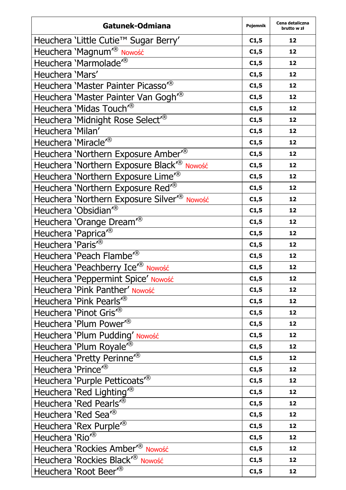| Gatunek-Odmiana                                        | Pojemnik | Cena detaliczna<br>brutto w zł |
|--------------------------------------------------------|----------|--------------------------------|
| Heuchera 'Little Cutie™ Sugar Berry'                   | C1,5     | 12                             |
| Heuchera 'Magnum <sup>®</sup> Nowość                   | C1,5     | 12                             |
| Heuchera 'Marmolade <sup>"®</sup>                      | C1,5     | 12                             |
| Heuchera 'Mars'                                        | C1,5     | 12                             |
| Heuchera 'Master Painter Picasso <sup>78</sup>         | C1,5     | 12                             |
| Heuchera 'Master Painter Van Gogh <sup>78</sup>        | C1,5     | 12                             |
| Heuchera 'Midas Touch <sup>®</sup>                     | C1,5     | 12                             |
| Heuchera 'Midnight Rose Select <sup>®</sup>            | C1,5     | 12                             |
| Heuchera 'Milan'                                       | C1,5     | 12                             |
| Heuchera 'Miracle <sup>®</sup>                         | C1,5     | 12                             |
| Heuchera 'Northern Exposure Amber <sup>®</sup>         | C1,5     | 12                             |
| Heuchera 'Northern Exposure Black <sup>r®</sup> Nowość | C1,5     | 12                             |
| Heuchera 'Northern Exposure Lime <sup>7®</sup>         | C1,5     | 12                             |
| Heuchera 'Northern Exposure Red <sup>®</sup>           | C1,5     | 12                             |
| Heuchera 'Northern Exposure Silver <sup>®</sup> Nowość | C1,5     | 12                             |
| Heuchera 'Obsidian' <sup>®</sup>                       | C1,5     | 12                             |
| Heuchera 'Orange Dream <sup>®</sup>                    | C1,5     | 12                             |
| Heuchera 'Paprica <sup>"®</sup>                        | C1,5     | 12                             |
| Heuchera 'Paris <sup>78</sup>                          | C1,5     | 12                             |
| Heuchera 'Peach Flambe <sup>"®</sup>                   | C1,5     | 12                             |
| Heuchera 'Peachberry Ice <sup>r®</sup> Nowość          | C1,5     | 12                             |
| Heuchera 'Peppermint Spice' Nowość                     | C1,5     | 12                             |
| Heuchera 'Pink Panther' Nowość                         | C1,5     | 12                             |
| Heuchera 'Pink Pearls <sup>"®</sup>                    | C1,5     | 12                             |
| Heuchera 'Pinot Gris'®                                 | C1,5     | 12                             |
| Heuchera 'Plum Power <sup>®</sup>                      | C1,5     | 12                             |
| Heuchera 'Plum Pudding' Nowość                         | C1,5     | 12                             |
| Heuchera 'Plum Royale <sup>"®</sup>                    | C1,5     | 12                             |
| Heuchera 'Pretty Perinne <sup>"®</sup>                 | C1,5     | 12                             |
| Heuchera 'Prince <sup>"®</sup>                         | C1,5     | 12                             |
| Heuchera 'Purple Petticoats <sup>"®</sup>              | C1,5     | 12                             |
| Heuchera 'Red Lighting <sup>®</sup>                    | C1,5     | 12                             |
| Heuchera 'Red Pearls <sup>®</sup>                      | C1,5     | 12                             |
| Heuchera 'Red Sea <sup>r®</sup>                        | C1,5     | 12                             |
| Heuchera 'Rex Purple <sup>78</sup>                     | C1,5     | 12                             |
| Heuchera 'Rio <sup>®</sup>                             | C1,5     | 12                             |
| Heuchera 'Rockies Amber <sup>r®</sup> Nowość           | C1,5     | 12                             |
| Heuchera 'Rockies Black <sup>®</sup><br>Nowość         | C1,5     | 12                             |
| Heuchera 'Root Beer <sup>®</sup>                       | C1,5     | 12                             |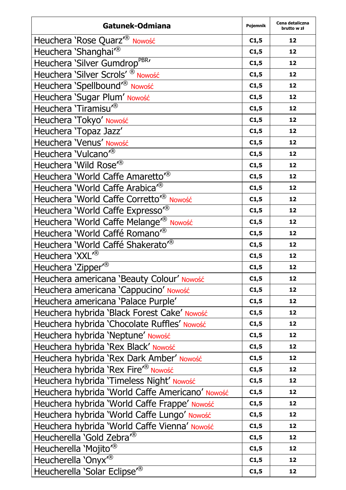| Gatunek-Odmiana                                    | Pojemnik | Cena detaliczna<br>brutto w zł |
|----------------------------------------------------|----------|--------------------------------|
| Heuchera 'Rose Quarz <sup>'®</sup> Nowość          | C1,5     | 12                             |
| Heuchera 'Shanghai <sup>7®</sup>                   | C1,5     | 12                             |
| Heuchera 'Silver Gumdrop <sup>PBR</sup> '          | C1,5     | 12                             |
| Heuchera 'Silver Scrols' <sup>®</sup> Nowość       | C1,5     | 12                             |
| Heuchera 'Spellbound' <sup>®</sup> Nowość          | C1,5     | 12                             |
| Heuchera 'Sugar Plum' Nowość                       | C1,5     | 12                             |
| Heuchera 'Tiramisu <sup>®</sup>                    | C1,5     | 12                             |
| Heuchera 'Tokyo' Nowość                            | C1,5     | 12                             |
| Heuchera 'Topaz Jazz'                              | C1,5     | 12                             |
| Heuchera 'Venus' Nowość                            | C1,5     | 12                             |
| Heuchera 'Vulcano <sup>7®</sup>                    | C1,5     | 12                             |
| Heuchera 'Wild Rose <sup>78</sup>                  | C1,5     | 12                             |
| Heuchera 'World Caffe Amaretto" <sup>®</sup>       | C1,5     | 12                             |
| Heuchera 'World Caffe Arabica <sup>®</sup>         | C1,5     | 12                             |
| Heuchera 'World Caffe Corretto <sup>®</sup> Nowość | C1,5     | 12                             |
| Heuchera 'World Caffe Expresso"®                   | C1,5     | 12                             |
| Heuchera 'World Caffe Melange <sup>r®</sup> Nowość | C1,5     | 12                             |
| Heuchera 'World Caffé Romano <sup>7®</sup>         | C1,5     | 12                             |
| Heuchera 'World Caffé Shakerato <sup>78</sup>      | C1,5     | 12                             |
| Heuchera 'XXL <sup>®</sup>                         | C1,5     | 12                             |
| Heuchera 'Zipper <sup>®</sup>                      | C1,5     | 12                             |
| Heuchera americana 'Beauty Colour' Nowość          | C1,5     | 12                             |
| Heuchera americana 'Cappucino' Nowość              | C1,5     | 12                             |
| Heuchera americana 'Palace Purple'                 | C1,5     | 12                             |
| Heuchera hybrida 'Black Forest Cake' Nowość        | C1,5     | 12                             |
| Heuchera hybrida 'Chocolate Ruffles' Nowość        | C1,5     | 12                             |
| Heuchera hybrida 'Neptune' Nowość                  | C1,5     | 12                             |
| Heuchera hybrida 'Rex Black' Nowość                | C1,5     | 12                             |
| Heuchera hybrida 'Rex Dark Amber' Nowość           | C1,5     | 12                             |
| Heuchera hybrida 'Rex Fire <sup>®</sup> Nowość     | C1,5     | 12                             |
| Heuchera hybrida 'Timeless Night' Nowość           | C1,5     | 12                             |
| Heuchera hybrida 'World Caffe Americano' Nowość    | C1,5     | 12                             |
| Heuchera hybrida 'World Caffe Frappe' Nowość       | C1,5     | 12                             |
| Heuchera hybrida 'World Caffe Lungo' Nowość        | C1,5     | 12                             |
| Heuchera hybrida 'World Caffe Vienna' Nowość       | C1,5     | 12                             |
| Heucherella 'Gold Zebra <sup>"®</sup>              | C1,5     | 12                             |
| Heucherella 'Mojito <sup>®</sup>                   | C1,5     | 12                             |
| Heucherella 'Onyx <sup>78</sup>                    | C1,5     | 12                             |
| Heucherella 'Solar Eclipse <sup>"®</sup>           | C1,5     | 12                             |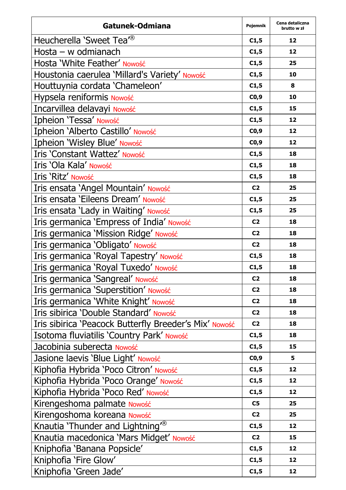| Gatunek-Odmiana                                        | Pojemnik       | Cena detaliczna<br>brutto w zł |
|--------------------------------------------------------|----------------|--------------------------------|
| Heucherella 'Sweet Tea <sup>r®</sup>                   | C1,5           | 12                             |
| Hosta - w odmianach                                    | C1,5           | 12                             |
| Hosta 'White Feather' Nowość                           | C1,5           | 25                             |
| Houstonia caerulea 'Millard's Variety' Nowość          | C1,5           | 10                             |
| Houttuynia cordata 'Chameleon'                         | C1,5           | 8                              |
| Hypsela reniformis Nowość                              | CO,9           | 10                             |
| Incarvillea delavayi Nowość                            | C1,5           | 15                             |
| Ipheion 'Tessa' Nowość                                 | C1,5           | 12                             |
| Ipheion 'Alberto Castillo' Nowość                      | CO,9           | 12                             |
| Ipheion 'Wisley Blue' Nowość                           | CO,9           | 12                             |
| Iris 'Constant Wattez' Nowość                          | C1,5           | 18                             |
| Iris 'Ola Kala' Nowość                                 | C1,5           | 18                             |
| Iris 'Ritz' Nowość                                     | C1,5           | 18                             |
| Iris ensata 'Angel Mountain' Nowość                    | C <sub>2</sub> | 25                             |
| Iris ensata 'Eileens Dream' Nowość                     | C1,5           | 25                             |
| Iris ensata 'Lady in Waiting' Nowość                   | C1,5           | 25                             |
| Iris germanica 'Empress of India' Nowość               | C <sub>2</sub> | 18                             |
| Iris germanica 'Mission Ridge' Nowość                  | C <sub>2</sub> | 18                             |
| Iris germanica 'Obligato' Nowość                       | C2             | 18                             |
| Iris germanica 'Royal Tapestry' Nowość                 | C1,5           | 18                             |
| Iris germanica 'Royal Tuxedo' Nowość                   | C1,5           | 18                             |
| Iris germanica 'Sangreal' Nowość                       | C <sub>2</sub> | 18                             |
| Iris germanica 'Superstition' Nowość                   | C <sub>2</sub> | 18                             |
| Iris germanica 'White Knight' Nowość                   | C2             | 18                             |
| Iris sibirica 'Double Standard' Nowość                 | C <sub>2</sub> | 18                             |
| Iris sibirica 'Peacock Butterfly Breeder's Mix' Nowość | C <sub>2</sub> | 18                             |
| Isotoma fluviatilis 'Country Park' Nowość              | C1,5           | 18                             |
| Jacobinia suberecta Nowość                             | C1,5           | 15                             |
| Jasione laevis 'Blue Light' Nowość                     | CO, 9          | 5                              |
| Kiphofia Hybrida 'Poco Citron' Nowość                  | C1,5           | 12                             |
| Kiphofia Hybrida 'Poco Orange' Nowość                  | C1,5           | 12                             |
| Kiphofia Hybrida 'Poco Red' Nowość                     | C1,5           | 12                             |
| Kirengeshoma palmate Nowość                            | C5             | 25                             |
| Kirengoshoma koreana Nowość                            | C <sub>2</sub> | 25                             |
| Knautia 'Thunder and Lightning <sup>®</sup>            | C1,5           | 12                             |
| Knautia macedonica 'Mars Midget' Nowość                | C <sub>2</sub> | 15                             |
| Kniphofia 'Banana Popsicle'                            | C1,5           | 12                             |
| Kniphofia 'Fire Glow'                                  | C1,5           | 12                             |
| Kniphofia 'Green Jade'                                 | C1,5           | 12                             |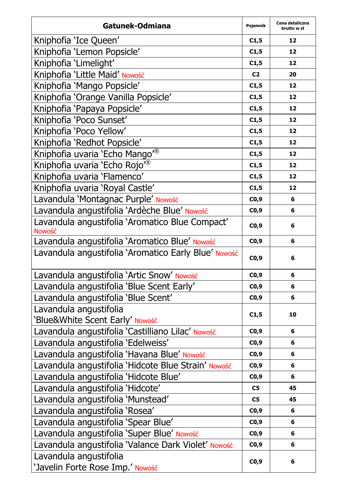| Gatunek-Odmiana                                                  | Pojemnik       | Cena detaliczna<br>brutto w zł |
|------------------------------------------------------------------|----------------|--------------------------------|
| Kniphofia 'Ice Queen'                                            | C1,5           | 12                             |
| Kniphofia 'Lemon Popsicle'                                       | C1,5           | 12                             |
| Kniphofia 'Limelight'                                            | C1,5           | 12                             |
| Kniphofia 'Little Maid' Nowość                                   | C <sub>2</sub> | 20                             |
| Kniphofia 'Mango Popsicle'                                       | C1,5           | 12                             |
| Kniphofia 'Orange Vanilla Popsicle'                              | C1,5           | 12                             |
| Kniphofia 'Papaya Popsicle'                                      | C1,5           | 12                             |
| Kniphofia 'Poco Sunset'                                          | C1,5           | 12                             |
| Kniphofia 'Poco Yellow'                                          | C1,5           | 12                             |
| Kniphofia 'Redhot Popsicle'                                      | C1,5           | 12                             |
| Kniphofia uvaria 'Echo Mango' <sup>®</sup>                       | C1,5           | 12                             |
| Kniphofia uvaria 'Echo Rojo <sup>®</sup>                         | C1,5           | 12                             |
| Kniphofia uvaria 'Flamenco'                                      | C1,5           | 12                             |
| Kniphofia uvaria 'Royal Castle'                                  | C1,5           | 12                             |
| Lavandula 'Montagnac Purple' Nowość                              | CO,9           | 6                              |
| Lavandula angustifolia 'Ardèche Blue' Nowość                     | CO, 9          | 6                              |
| Lavandula angustifolia 'Aromatico Blue Compact'<br><b>Nowość</b> | CO,9           | 6                              |
| Lavandula angustifolia 'Aromatico Blue' Nowość                   | CO,9           | 6                              |
| Lavandula angustifolia 'Aromatico Early Blue' Nowość             | CO,9           | 6                              |
| Lavandula angustifolia 'Artic Snow' Nowość                       | C0,9           | 6                              |
| Lavandula angustifolia 'Blue Scent Early'                        | CO,9           | 6                              |
| Lavandula angustifolia 'Blue Scent'                              | CO,9           | 6                              |
| Lavandula angustifolia<br>'Blue&White Scent Early' Nowość        | C1,5           | 10                             |
| Lavandula angustifolia 'Castilliano Lilac' Nowość                | CO, 9          | 6                              |
| Lavandula angustifolia 'Edelweiss'                               | CO, 9          | 6                              |
| Lavandula angustifolia 'Havana Blue' Nowość                      | C0,9           | 6                              |
| Lavandula angustifolia 'Hidcote Blue Strain' Nowość              | CO,9           | 6                              |
| Lavandula angustifolia 'Hidcote Blue'                            | CO,9           | 6                              |
| Lavandula angustifolia 'Hidcote'                                 | C5             | 45                             |
| Lavandula angustifolia 'Munstead'                                | C5             | 45                             |
| Lavandula angustifolia 'Rosea'                                   | CO, 9          | 6                              |
| Lavandula angustifolia 'Spear Blue'                              | C0,9           | 6                              |
| Lavandula angustifolia 'Super Blue' Nowość                       | C0,9           | 6                              |
| Lavandula angustifolia 'Valance Dark Violet' Nowość              | CO,9           | 6                              |
| Lavandula angustifolia<br>'Javelin Forte Rose Imp.' Nowość       | C0,9           | 6                              |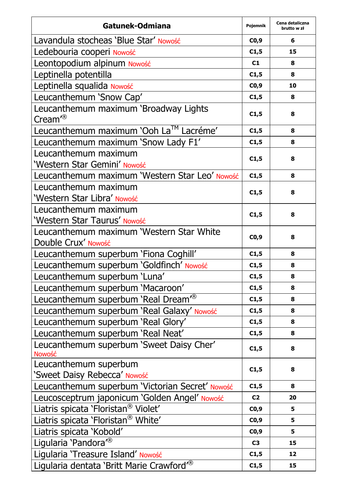| Gatunek-Odmiana                                                 | Pojemnik | Cena detaliczna<br>brutto w zł |
|-----------------------------------------------------------------|----------|--------------------------------|
| Lavandula stocheas 'Blue Star' Nowość                           | CO,9     | 6                              |
| Ledebouria cooperi Nowość                                       | C1,5     | 15                             |
| Leontopodium alpinum Nowość                                     | C1       | 8                              |
| Leptinella potentilla                                           | C1,5     | 8                              |
| Leptinella squalida Nowość                                      | CO,9     | 10                             |
| Leucanthemum 'Snow Cap'                                         | C1,5     | 8                              |
| Leucanthemum maximum 'Broadway Lights<br>Cream <sup>®</sup>     | C1,5     | 8                              |
| Leucanthemum maximum 'Ooh La™ Lacréme'                          | C1,5     | 8                              |
| Leucanthemum maximum 'Snow Lady F1'                             | C1,5     | 8                              |
| Leucanthemum maximum                                            |          |                                |
| 'Western Star Gemini' Nowość                                    | C1,5     | 8                              |
| Leucanthemum maximum 'Western Star Leo' Nowość                  | C1,5     | 8                              |
| Leucanthemum maximum<br>'Western Star Libra' Nowość             | C1,5     | 8                              |
| Leucanthemum maximum<br>'Western Star Taurus' Nowość            | C1,5     | 8                              |
| Leucanthemum maximum 'Western Star White<br>Double Crux' Nowość | CO,9     | 8                              |
| Leucanthemum superbum 'Fiona Coghill'                           | C1,5     | 8                              |
| Leucanthemum superbum 'Goldfinch' Nowość                        | C1,5     | 8                              |
| Leucanthemum superbum 'Luna'                                    | C1,5     | 8                              |
| Leucanthemum superbum 'Macaroon'                                | C1,5     | 8                              |
| Leucanthemum superbum 'Real Dream <sup>®</sup>                  | C1,5     | 8                              |
| Leucanthemum superbum 'Real Galaxy' Nowość                      | C1,5     | 8                              |
| Leucanthemum superbum 'Real Glory'                              | C1,5     | 8                              |
| Leucanthemum superbum 'Real Neat'                               | C1,5     | 8                              |
| Leucanthemum superbum 'Sweet Daisy Cher'<br>Nowość              | C1,5     | 8                              |
| Leucanthemum superbum                                           | C1,5     | 8                              |
| 'Sweet Daisy Rebecca' Nowość                                    |          |                                |
| Leucanthemum superbum 'Victorian Secret' Nowość                 | C1,5     | 8                              |
| Leucosceptrum japonicum 'Golden Angel' Nowość                   | C2       | 20                             |
| Liatris spicata 'Floristan® Violet'                             | CO,9     | 5                              |
| Liatris spicata 'Floristan® White'                              | CO,9     | 5                              |
| Liatris spicata 'Kobold'                                        | CO,9     | 5                              |
| Ligularia 'Pandora <sup>®</sup>                                 | C3       | 15                             |
| Ligularia 'Treasure Island' Nowość                              | C1,5     | 12                             |
| Ligularia dentata 'Britt Marie Crawford <sup>®</sup>            | C1,5     | 15                             |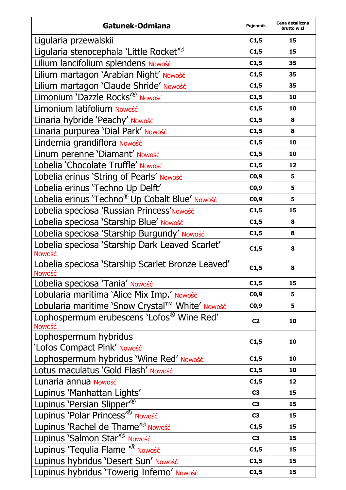| Gatunek-Odmiana                                             | Pojemnik       | Cena detaliczna<br>brutto w zł |
|-------------------------------------------------------------|----------------|--------------------------------|
| Ligularia przewalskii                                       | C1,5           | 15                             |
| Ligularia stenocephala 'Little Rocket <sup>®</sup>          | C1,5           | 15                             |
| Lilium lancifolium splendens Nowość                         | C1,5           | 35                             |
| Lilium martagon 'Arabian Night' Nowość                      | C1,5           | 35                             |
| Lilium martagon 'Claude Shride' Nowość                      | C1,5           | 35                             |
| Limonium 'Dazzle Rocks <sup>r®</sup> Nowość                 | C1,5           | 10                             |
| Limonium latifolium Nowość                                  | C1,5           | 10                             |
| Linaria hybride 'Peachy' Nowość                             | C1,5           | 8                              |
| Linaria purpurea 'Dial Park' Nowość                         | C1,5           | 8                              |
| Lindernia grandiflora Nowość                                | C1,5           | 10                             |
| Linum perenne 'Diamant' Nowość                              | C1,5           | 10                             |
| Lobelia 'Chocolate Truffle' Nowość                          | C1,5           | 12                             |
| Lobelia erinus 'String of Pearls' Nowość                    | CO,9           | 5                              |
| Lobelia erinus 'Techno Up Delft'                            | CO,9           | 5                              |
| Lobelia erinus 'Techno® Up Cobalt Blue' Nowość              | CO,9           | 5                              |
| Lobelia speciosa 'Russian Princess'Nowość                   | C1,5           | 15                             |
| Lobelia speciosa 'Starship Blue' Nowość                     | C1,5           | 8                              |
| Lobelia speciosa 'Starship Burgundy' Nowość                 | C1,5           | 8                              |
| Lobelia speciosa 'Starship Dark Leaved Scarlet'<br>Nowość   | C1,5           | 8                              |
| Lobelia speciosa 'Starship Scarlet Bronze Leaved'<br>Nowość | C1,5           | 8                              |
| Lobelia speciosa 'Tania' Nowość                             | C1,5           | 15                             |
| Lobularia maritima 'Alice Mix Imp.' Nowość                  | CO,9           | 5                              |
| Lobularia maritime 'Snow Crystal™ White' Nowość             | CO,9           | 5                              |
| Lophospermum erubescens 'Lofos® Wine Red'<br>Nowość         | C <sub>2</sub> | 10                             |
| Lophospermum hybridus<br>'Lofos Compact Pink' Nowość        | C1,5           | 10                             |
| Lophospermum hybridus 'Wine Red' Nowość                     | C1,5           | 10                             |
| Lotus maculatus 'Gold Flash' Nowość                         | C1,5           | 10                             |
| Lunaria annua Nowość                                        | C1,5           | 12                             |
| Lupinus 'Manhattan Lights'                                  | C3             | 15                             |
| Lupinus 'Persian Slipper <sup>®</sup>                       | C3             | 15                             |
| Lupinus 'Polar Princess <sup>"®</sup> Nowość                | C3             | 15                             |
| Lupinus 'Rachel de Thame <sup><sub>®</sub></sup> Nowość     | C1,5           | 15                             |
| Lupinus 'Salmon Star <sup>®</sup> Nowość                    | C <sub>3</sub> | 15                             |
| Lupinus 'Tequlia Flame <sup>(®</sup> Nowość                 | C1,5           | 15                             |
| Lupinus hybridus 'Desert Sun' Nowość                        | C1,5           | 15                             |
| Lupinus hybridus 'Towerig Inferno' Nowość                   | C1,5           | 15                             |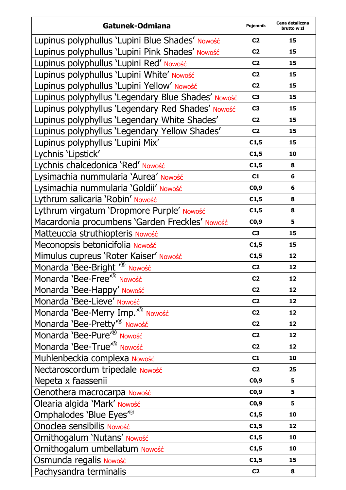| Gatunek-Odmiana                                    | Pojemnik       | Cena detaliczna<br>brutto w zł |
|----------------------------------------------------|----------------|--------------------------------|
| Lupinus polyphullus 'Lupini Blue Shades' Nowość    | C <sub>2</sub> | 15                             |
| Lupinus polyphullus 'Lupini Pink Shades' Nowość    | C2             | 15                             |
| Lupinus polyphullus 'Lupini Red' Nowość            | C <sub>2</sub> | 15                             |
| Lupinus polyphullus 'Lupini White' Nowość          | C <sub>2</sub> | 15                             |
| Lupinus polyphullus 'Lupini Yellow' Nowość         | C <sub>2</sub> | 15                             |
| Lupinus polyphyllus 'Legendary Blue Shades' Nowość | C3             | 15                             |
| Lupinus polyphyllus 'Legendary Red Shades' Nowość  | C3             | 15                             |
| Lupinus polyphyllus 'Legendary White Shades'       | C <sub>2</sub> | 15                             |
| Lupinus polyphyllus 'Legendary Yellow Shades'      | C <sub>2</sub> | 15                             |
| Lupinus polyphyllus 'Lupini Mix'                   | C1,5           | 15                             |
| Lychnis 'Lipstick'                                 | C1,5           | 10                             |
| Lychnis chalcedonica 'Red' Nowość                  | C1,5           | 8                              |
| Lysimachia nummularia 'Aurea' Nowość               | C1             | 6                              |
| Lysimachia nummularia 'Goldii' Nowość              | CO,9           | 6                              |
| Lythrum salicaria 'Robin' Nowość                   | C1,5           | 8                              |
| Lythrum virgatum 'Dropmore Purple' Nowość          | C1,5           | 8                              |
| Macardonia procumbens 'Garden Freckles' Nowość     | CO,9           | 5                              |
| Matteuccia struthiopteris Nowość                   | C <sub>3</sub> | 15                             |
| Meconopsis betonicifolia Nowość                    | C1,5           | 15                             |
| Mimulus cupreus 'Roter Kaiser' Nowość              | C1,5           | 12                             |
| Monarda 'Bee-Bright <sup>"®</sup> Nowość           | C <sub>2</sub> | 12                             |
| Monarda 'Bee-Free <sup>r®</sup> Nowość             | C <sub>2</sub> | 12                             |
| Monarda 'Bee-Happy' Nowość                         | C <sub>2</sub> | 12                             |
| Monarda 'Bee-Lieve' Nowość                         | C <sub>2</sub> | 12                             |
| Monarda 'Bee-Merry Imp. <sup>7®</sup> Nowość       | C <sub>2</sub> | 12                             |
| Monarda 'Bee-Pretty' <sup>®</sup> Nowość           | C <sub>2</sub> | 12                             |
| Monarda 'Bee-Pure <sup>'®</sup> Nowość             | C <sub>2</sub> | 12                             |
| Monarda 'Bee-True <sup>"®</sup> Nowość             | C <sub>2</sub> | 12                             |
| Muhlenbeckia complexa Nowość                       | C1             | 10                             |
| Nectaroscordum tripedale Nowość                    | C <sub>2</sub> | 25                             |
| Nepeta x faassenii                                 | CO,9           | 5                              |
| Oenothera macrocarpa Nowość                        | CO,9           | 5                              |
| Olearia algida 'Mark' Nowość                       | CO,9           | 5                              |
| Omphalodes 'Blue Eyes <sup>"®</sup>                | C1,5           | 10                             |
| Onoclea sensibilis Nowość                          | C1,5           | 12                             |
| Ornithogalum 'Nutans' Nowość                       | C1,5           | 10                             |
| Ornithogalum umbellatum Nowość                     | C1,5           | 10                             |
| Osmunda regalis Nowość                             | C1,5           | 15                             |
| Pachysandra terminalis                             | C <sub>2</sub> | 8                              |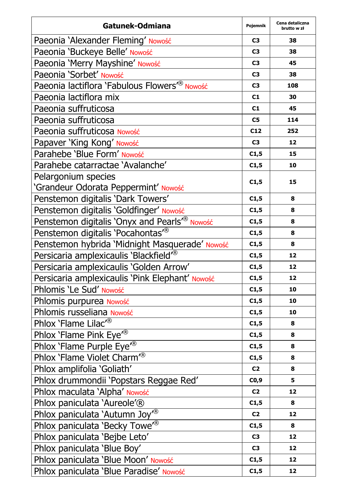| Gatunek-Odmiana                                           | Pojemnik       | Cena detaliczna<br>brutto w zł |
|-----------------------------------------------------------|----------------|--------------------------------|
| Paeonia 'Alexander Fleming' Nowość                        | C3             | 38                             |
| Paeonia 'Buckeye Belle' Nowość                            | C3             | 38                             |
| Paeonia 'Merry Mayshine' Nowość                           | C <sub>3</sub> | 45                             |
| Paeonia 'Sorbet' Nowość                                   | C3             | 38                             |
| Paeonia lactiflora 'Fabulous Flowers <sup>"®</sup> Nowość | C3             | 108                            |
| Paeonia lactiflora mix                                    | C1             | 30                             |
| Paeonia suffruticosa                                      | C1             | 45                             |
| Paeonia suffruticosa                                      | C5             | 114                            |
| Paeonia suffruticosa Nowość                               | C12            | 252                            |
| Papaver 'King Kong' Nowość                                | C3             | 12                             |
| Parahebe 'Blue Form' Nowość                               | C1,5           | 15                             |
| Parahebe catarractae 'Avalanche'                          | C1,5           | 10                             |
| Pelargonium species                                       | C1,5           | 15                             |
| 'Grandeur Odorata Peppermint' Nowość                      |                |                                |
| Penstemon digitalis 'Dark Towers'                         | C1,5           | 8                              |
| Penstemon digitalis 'Goldfinger' Nowość                   | C1,5           | 8                              |
| Penstemon digitalis 'Onyx and Pearls' <sup>®</sup> Nowość | C1,5           | 8                              |
| Penstemon digitalis 'Pocahontas <sup>®</sup>              | C1,5           | 8                              |
| Penstemon hybrida 'Midnight Masquerade' Nowość            | C1,5           | 8                              |
| Persicaria amplexicaulis 'Blackfield' <sup>®</sup>        | C1,5           | 12                             |
| Persicaria amplexicaulis 'Golden Arrow'                   | C1,5           | 12                             |
| Persicaria amplexicaulis 'Pink Elephant' Nowość           | C1,5           | 12                             |
| Phlomis 'Le Sud' Nowość                                   | C1,5           | 10                             |
| Phlomis purpurea Nowość                                   | C1,5           | 10                             |
| Phlomis russeliana Nowość                                 | C1,5           | 10                             |
| Phlox 'Flame Lilac <sup>r®</sup>                          | C1,5           | 8                              |
| Phlox 'Flame Pink Eye <sup>®</sup>                        | C1,5           | 8                              |
| Phlox 'Flame Purple Eye <sup>r®</sup>                     | C1,5           | 8                              |
| Phlox 'Flame Violet Charm <sup>®</sup>                    | C1,5           | 8                              |
| Phlox amplifolia 'Goliath'                                | C <sub>2</sub> | 8                              |
| Phlox drummondii 'Popstars Reggae Red'                    | CO,9           | 5                              |
| Phlox maculata 'Alpha' Nowość                             | C2             | 12                             |
| Phlox paniculata 'Aureole'®                               | C1,5           | 8                              |
| Phlox paniculata 'Autumn Joy <sup>7®</sup>                | C <sub>2</sub> | 12                             |
| Phlox paniculata 'Becky Towe <sup>®</sup>                 | C1,5           | 8                              |
| Phlox paniculata 'Bejbe Leto'                             | C3             | 12                             |
| Phlox paniculata 'Blue Boy'                               | C <sub>3</sub> | 12                             |
| Phlox paniculata 'Blue Moon' Nowość                       | C1,5           | 12                             |
| Phlox paniculata 'Blue Paradise' Nowość                   | C1,5           | 12                             |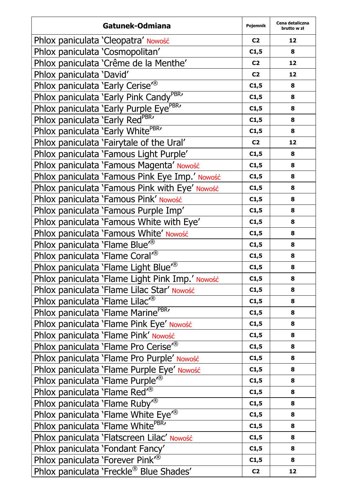| Gatunek-Odmiana                                     | Pojemnik       | Cena detaliczna<br>brutto w zł |
|-----------------------------------------------------|----------------|--------------------------------|
| Phlox paniculata 'Cleopatra' Nowość                 | C <sub>2</sub> | 12                             |
| Phlox paniculata 'Cosmopolitan'                     | C1,5           | 8                              |
| Phlox paniculata 'Crême de la Menthe'               | C <sub>2</sub> | 12                             |
| Phlox paniculata 'David'                            | C <sub>2</sub> | 12                             |
| Phlox paniculata 'Early Cerise <sup>7®</sup>        | C1,5           | 8                              |
| Phlox paniculata 'Early Pink Candy <sup>PBR</sup> ' | C1,5           | 8                              |
| Phlox paniculata 'Early Purple Eye <sup>PBR</sup> ' | C1,5           | 8                              |
| Phlox paniculata 'Early RedPBR'                     | C1,5           | 8                              |
| Phlox paniculata 'Early White <sup>PBR</sup> '      | C1,5           | 8                              |
| Phlox paniculata 'Fairytale of the Ural'            | C <sub>2</sub> | 12                             |
| Phlox paniculata 'Famous Light Purple'              | C1,5           | 8                              |
| Phlox paniculata 'Famous Magenta' Nowość            | C1,5           | 8                              |
| Phlox paniculata 'Famous Pink Eye Imp.' Nowość      | C1,5           | 8                              |
| Phlox paniculata 'Famous Pink with Eye' Nowość      | C1,5           | 8                              |
| Phlox paniculata 'Famous Pink' Nowość               | C1,5           | 8                              |
| Phlox paniculata 'Famous Purple Imp'                | C1,5           | 8                              |
| Phlox paniculata 'Famous White with Eye'            | C1,5           | 8                              |
| Phlox paniculata 'Famous White' Nowość              | C1,5           | 8                              |
| Phlox paniculata 'Flame Blue' <sup>®</sup>          | C1,5           | 8                              |
| Phlox paniculata 'Flame Coral <sup>®</sup>          | C1,5           | 8                              |
| Phlox paniculata 'Flame Light Blue <sup>r®</sup>    | C1,5           | 8                              |
| Phlox paniculata 'Flame Light Pink Imp.' Nowość     | C1,5           | 8                              |
| Phlox paniculata 'Flame Lilac Star' Nowość          | C1,5           | 8                              |
| Phlox paniculata 'Flame Lilac <sup>r®</sup>         | C1,5           | 8                              |
| Phlox paniculata 'Flame Marine <sup>PBR</sup> '     | C1,5           | 8                              |
| Phlox paniculata 'Flame Pink Eye' Nowość            | C1,5           | 8                              |
| Phlox paniculata 'Flame Pink' Nowość                | C1,5           | 8                              |
| Phlox paniculata 'Flame Pro Cerise <sup>®</sup>     | C1,5           | 8                              |
| Phlox paniculata 'Flame Pro Purple' Nowość          | C1,5           | 8                              |
| Phlox paniculata 'Flame Purple Eye' Nowość          | C1,5           | 8                              |
| Phlox paniculata 'Flame Purple <sup>®</sup>         | C1,5           | 8                              |
| Phlox paniculata 'Flame Red <sup>®</sup>            | C1,5           | 8                              |
| Phlox paniculata 'Flame Ruby <sup>®</sup>           | C1,5           | 8                              |
| Phlox paniculata 'Flame White Eye <sup>®</sup>      | C1,5           | 8                              |
| Phlox paniculata 'Flame White <sup>PBR</sup> '      | C1,5           | 8                              |
| Phlox paniculata 'Flatscreen Lilac' Nowość          | C1,5           | 8                              |
| Phlox paniculata 'Fondant Fancy'                    | C1,5           | 8                              |
| Phlox paniculata 'Forever Pink <sup>78</sup>        | C1,5           | 8                              |
| Phlox paniculata 'Freckle® Blue Shades'             | C <sub>2</sub> | 12                             |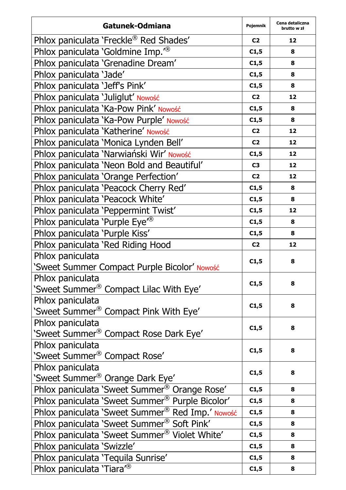| Gatunek-Odmiana                                           | Pojemnik       | Cena detaliczna<br>brutto w zł |
|-----------------------------------------------------------|----------------|--------------------------------|
| Phlox paniculata 'Freckle® Red Shades'                    | C <sub>2</sub> | 12                             |
| Phlox paniculata 'Goldmine Imp. <sup>78</sup>             | C1,5           | 8                              |
| Phlox paniculata 'Grenadine Dream'                        | C1,5           | 8                              |
| Phlox paniculata 'Jade'                                   | C1,5           | 8                              |
| Phlox paniculata 'Jeff's Pink'                            | C1,5           | 8                              |
| Phlox paniculata 'Juliglut' Nowość                        | C <sub>2</sub> | 12                             |
| Phlox paniculata 'Ka-Pow Pink' Nowość                     | C1,5           | 8                              |
| Phlox paniculata 'Ka-Pow Purple' Nowość                   | C1,5           | 8                              |
| Phlox paniculata 'Katherine' Nowość                       | C <sub>2</sub> | 12                             |
| Phlox paniculata 'Monica Lynden Bell'                     | C <sub>2</sub> | 12                             |
| Phlox paniculata 'Narwiański Wir' Nowość                  | C1,5           | 12                             |
| Phlox paniculata 'Neon Bold and Beautiful'                | C3             | 12                             |
| Phlox paniculata 'Orange Perfection'                      | C <sub>2</sub> | 12                             |
| Phlox paniculata 'Peacock Cherry Red'                     | C1,5           | 8                              |
| Phlox paniculata 'Peacock White'                          | C1,5           | 8                              |
| Phlox paniculata 'Peppermint Twist'                       | C1,5           | 12                             |
| Phlox paniculata 'Purple Eye <sup>®</sup>                 | C1,5           | 8                              |
| Phlox paniculata 'Purple Kiss'                            | C1,5           | 8                              |
| Phlox paniculata 'Red Riding Hood                         | C <sub>2</sub> | 12                             |
| Phlox paniculata                                          | C1,5           | 8                              |
| 'Sweet Summer Compact Purple Bicolor' Nowość              |                |                                |
| Phlox paniculata                                          | C1,5           | 8                              |
| 'Sweet Summer® Compact Lilac With Eye'                    |                |                                |
| Phlox paniculata                                          | C1,5           | 8                              |
| 'Sweet Summer® Compact Pink With Eye'                     |                |                                |
| Phlox paniculata                                          | C1,5           | 8                              |
| 'Sweet Summer® Compact Rose Dark Eye'                     |                |                                |
| Phlox paniculata                                          | C1,5           | 8                              |
| 'Sweet Summer® Compact Rose'                              |                |                                |
| Phlox paniculata                                          | C1,5           | 8                              |
| 'Sweet Summer® Orange Dark Eye'                           |                |                                |
| Phlox paniculata 'Sweet Summer <sup>®</sup> Orange Rose'  | C1,5           | 8                              |
| Phlox paniculata 'Sweet Summer® Purple Bicolor'           | C1,5           | 8                              |
| Phlox paniculata 'Sweet Summer® Red Imp.' Nowość          | C1,5           | 8                              |
| Phlox paniculata 'Sweet Summer® Soft Pink'                | C1,5           | 8                              |
| Phlox paniculata 'Sweet Summer <sup>®</sup> Violet White' | C1,5           | 8                              |
| Phlox paniculata 'Swizzle'                                | C1,5           | 8                              |
| Phlox paniculata 'Tequila Sunrise'                        | C1,5           | 8                              |
| Phlox paniculata 'Tiara <sup>7®</sup>                     | C1,5           | 8                              |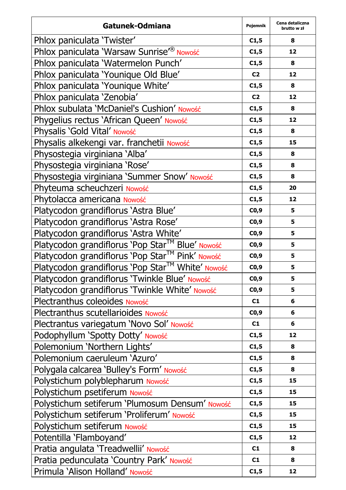| Gatunek-Odmiana                                  | Pojemnik       | Cena detaliczna<br>brutto w zł |
|--------------------------------------------------|----------------|--------------------------------|
| Phlox paniculata 'Twister'                       | C1,5           | 8                              |
| Phlox paniculata 'Warsaw Sunrise'® Nowość        | C1,5           | 12                             |
| Phlox paniculata 'Watermelon Punch'              | C1,5           | 8                              |
| Phlox paniculata 'Younique Old Blue'             | C <sub>2</sub> | 12                             |
| Phlox paniculata 'Younique White'                | C1,5           | 8                              |
| Phlox paniculata 'Zenobia'                       | C <sub>2</sub> | 12                             |
| Phlox subulata 'McDaniel's Cushion' Nowość       | C1,5           | 8                              |
| Phygelius rectus 'African Queen' Nowość          | C1,5           | 12                             |
| Physalis 'Gold Vital' Nowość                     | C1,5           | 8                              |
| Physalis alkekengi var. franchetii Nowość        | C1,5           | 15                             |
| Physostegia virginiana 'Alba'                    | C1,5           | 8                              |
| Physostegia virginiana 'Rose'                    | C1,5           | 8                              |
| Physostegia virginiana 'Summer Snow' Nowość      | C1,5           | 8                              |
| Phyteuma scheuchzeri Nowość                      | C1,5           | 20                             |
| Phytolacca americana Nowość                      | C1,5           | 12                             |
| Platycodon grandiflorus 'Astra Blue'             | CO, 9          | 5                              |
| Platycodon grandiflorus 'Astra Rose'             | CO,9           | 5                              |
| Platycodon grandiflorus 'Astra White'            | CO,9           | 5                              |
| Platycodon grandiflorus 'Pop Star™ Blue' Nowość  | CO, 9          | 5                              |
| Platycodon grandiflorus 'Pop Star™ Pink' Nowość  | CO, 9          | 5                              |
| Platycodon grandiflorus 'Pop Star™ White' Nowość | CO,9           | 5                              |
| Platycodon grandiflorus 'Twinkle Blue' Nowość    | C0,9           | 5                              |
| Platycodon grandiflorus 'Twinkle White' Nowość   | CO,9           | 5                              |
| Plectranthus coleoides Nowość                    | C1             | 6                              |
| Plectranthus scutellarioides Nowość              | CO, 9          | 6                              |
| Plectrantus variegatum 'Novo Sol' Nowość         | C1             | 6                              |
| Podophyllum 'Spotty Dotty' Nowość                | C1,5           | 12                             |
| Polemonium 'Northern Lights'                     | C1,5           | 8                              |
| Polemonium caeruleum 'Azuro'                     | C1,5           | 8                              |
| Polygala calcarea 'Bulley's Form' Nowość         | C1,5           | 8                              |
| Polystichum polyblepharum Nowość                 | C1,5           | 15                             |
| Polystichum psetiferum Nowość                    | C1,5           | 15                             |
| Polystichum setiferum 'Plumosum Densum' Nowość   | C1,5           | 15                             |
| Polystichum setiferum 'Proliferum' Nowość        | C1,5           | 15                             |
| Polystichum setiferum Nowość                     | C1,5           | 15                             |
| Potentilla 'Flamboyand'                          | C1,5           | 12                             |
| Pratia angulata 'Treadwellii' Nowość             | C1             | 8                              |
| Pratia pedunculata 'Country Park' Nowość         | C1             | 8                              |
| Primula 'Alison Holland' Nowość                  | C1,5           | 12                             |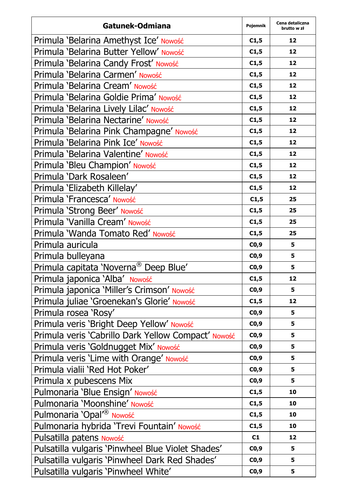| Gatunek-Odmiana                                     | Pojemnik | Cena detaliczna<br>brutto w zł |
|-----------------------------------------------------|----------|--------------------------------|
| Primula 'Belarina Amethyst Ice' Nowość              | C1,5     | 12                             |
| Primula 'Belarina Butter Yellow' Nowość             | C1,5     | 12                             |
| Primula 'Belarina Candy Frost' Nowość               | C1,5     | 12                             |
| Primula 'Belarina Carmen' Nowość                    | C1,5     | 12                             |
| Primula 'Belarina Cream' Nowość                     | C1,5     | 12                             |
| Primula 'Belarina Goldie Prima' Nowość              | C1,5     | 12                             |
| Primula 'Belarina Lively Lilac' Nowość              | C1,5     | 12                             |
| Primula 'Belarina Nectarine' Nowość                 | C1,5     | 12                             |
| Primula 'Belarina Pink Champagne' Nowość            | C1,5     | 12                             |
| Primula 'Belarina Pink Ice' Nowość                  | C1,5     | 12                             |
| Primula 'Belarina Valentine' Nowość                 | C1,5     | 12                             |
| Primula 'Bleu Champion' Nowość                      | C1,5     | 12                             |
| Primula 'Dark Rosaleen'                             | C1,5     | 12                             |
| Primula 'Elizabeth Killelay'                        | C1,5     | 12                             |
| Primula 'Francesca' Nowość                          | C1,5     | 25                             |
| Primula 'Strong Beer' Nowość                        | C1,5     | 25                             |
| Primula 'Vanilla Cream' Nowość                      | C1,5     | 25                             |
| Primula 'Wanda Tomato Red' Nowość                   | C1,5     | 25                             |
| Primula auricula                                    | CO, 9    | 5                              |
| Primula bulleyana                                   | CO, 9    | 5                              |
| Primula capitata 'Noverna® Deep Blue'               | CO,9     | 5                              |
| Primula japonica 'Alba' Nowość                      | C1,5     | 12                             |
| Primula japonica 'Miller's Crimson' Nowość          | C0,9     | 5                              |
| Primula juliae 'Groenekan's Glorie' Nowość          | C1,5     | 12                             |
| Primula rosea 'Rosy'                                | CO,9     | 5                              |
| Primula veris 'Bright Deep Yellow' Nowość           | CO, 9    | 5                              |
| Primula veris 'Cabrillo Dark Yellow Compact' Nowość | CO, 9    | 5                              |
| Primula veris 'Goldnugget Mix' Nowość               | CO,9     | 5                              |
| Primula veris 'Lime with Orange' Nowość             | CO, 9    | 5                              |
| Primula vialii 'Red Hot Poker'                      | CO,9     | 5                              |
| Primula x pubescens Mix                             | CO,9     | 5                              |
| Pulmonaria 'Blue Ensign' Nowość                     | C1,5     | 10                             |
| Pulmonaria 'Moonshine' Nowość                       | C1,5     | 10                             |
| Pulmonaria 'Opal <sup><sup>®</sup> Nowość</sup>     | C1,5     | 10                             |
| Pulmonaria hybrida 'Trevi Fountain' Nowość          | C1,5     | 10                             |
| Pulsatilla patens Nowość                            | C1       | 12                             |
| Pulsatilla vulgaris 'Pinwheel Blue Violet Shades'   | C0,9     | 5                              |
| Pulsatilla vulgaris 'Pinwheel Dark Red Shades'      | CO, 9    | 5                              |
| Pulsatilla vulgaris 'Pinwheel White'                | C0,9     | 5                              |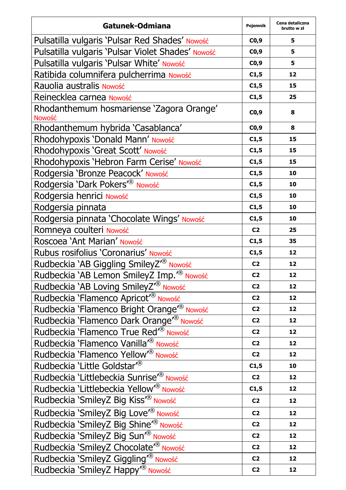| Gatunek-Odmiana                                                   | Pojemnik       | Cena detaliczna<br>brutto w zł |
|-------------------------------------------------------------------|----------------|--------------------------------|
| Pulsatilla vulgaris 'Pulsar Red Shades' Nowość                    | CO,9           | 5                              |
| Pulsatilla vulgaris 'Pulsar Violet Shades' Nowość                 | CO, 9          | 5                              |
| Pulsatilla vulgaris 'Pulsar White' Nowość                         | CO,9           | 5                              |
| Ratibida columnifera pulcherrima Nowość                           | C1,5           | 12                             |
| Rauolia australis Nowość                                          | C1,5           | 15                             |
| Reinecklea carnea Nowość                                          | C1,5           | 25                             |
| Rhodanthemum hosmariense 'Zagora Orange'<br><b>Nowość</b>         | CO,9           | 8                              |
| Rhodanthemum hybrida 'Casablanca'                                 | CO, 9          | 8                              |
| Rhodohypoxis 'Donald Mann' Nowość                                 | C1,5           | 15                             |
| Rhodohypoxis 'Great Scott' Nowość                                 | C1,5           | 15                             |
| Rhodohypoxis 'Hebron Farm Cerise' Nowość                          | C1,5           | 15                             |
| Rodgersia 'Bronze Peacock' Nowość                                 | C1,5           | 10                             |
| Rodgersia 'Dark Pokers' <sup>®</sup> Nowość                       | C1,5           | 10                             |
| Rodgersia henrici Nowość                                          | C1,5           | 10                             |
| Rodgersia pinnata                                                 | C1,5           | 10                             |
| Rodgersia pinnata 'Chocolate Wings' Nowość                        | C1,5           | 10                             |
| Romneya coulteri Nowość                                           | C <sub>2</sub> | 25                             |
| Roscoea 'Ant Marian' Nowość                                       | C1,5           | 35                             |
| Rubus rosifolius 'Coronarius' Nowość                              | C1,5           | 12                             |
| Rudbeckia 'AB Giggling SmileyZ <sup>r®</sup> Nowość               | C <sub>2</sub> | 12                             |
| Rudbeckia `AB Lemon SmileyZ Imp. <sup>r®</sup> Nowość             | C <sub>2</sub> | 12                             |
| Rudbeckia 'AB Loving SmileyZ <sup>"®</sup> Nowość                 | C <sub>2</sub> | 12                             |
| Rudbeckia 'Flamenco Apricot' <sup>®</sup> Nowość                  | C <sub>2</sub> | 12                             |
| Rudbeckia 'Flamenco Bright Orange <sup><sub>(®</sub></sup> Nowość | C <sub>2</sub> | 12                             |
| Rudbeckia 'Flamenco Dark Orange <sup>r®</sup> Nowość              | C <sub>2</sub> | 12                             |
| Rudbeckia 'Flamenco True Red' <sup>®</sup> Nowość                 | C <sub>2</sub> | 12                             |
| Rudbeckia 'Flamenco Vanilla <sup>r®</sup> Nowość                  | C <sub>2</sub> | 12                             |
| Rudbeckia 'Flamenco Yellow <sup>®</sup> Nowość                    | C <sub>2</sub> | 12                             |
| Rudbeckia 'Little Goldstar <sup>®</sup>                           | C1,5           | 10                             |
| Rudbeckia 'Littlebeckia Sunrise <sup>r®</sup> Nowość              | C <sub>2</sub> | 12                             |
| Rudbeckia `Littlebeckia Yellow <sup>'®</sup> Nowość               | C1,5           | 12                             |
| Rudbeckia 'SmileyZ Big Kiss <sup>7®</sup> Nowość                  | C <sub>2</sub> | 12                             |
| Rudbeckia 'SmileyZ Big Love <sup>r®</sup> Nowość                  | C <sub>2</sub> | 12                             |
| Rudbeckia 'SmileyZ Big Shine <sup>r®</sup> Nowość                 | C <sub>2</sub> | 12                             |
| Rudbeckia 'SmileyZ Big Sun <sup>®</sup> Nowość                    | C <sub>2</sub> | 12                             |
| Rudbeckia 'SmileyZ Chocolate <sup>r®</sup> Nowość                 | C <sub>2</sub> | 12                             |
| Rudbeckia 'SmileyZ Giggling <sup>"®</sup> Nowość                  | C2             | 12                             |
| Rudbeckia 'SmileyZ Happy <sup>®</sup> Nowość                      | C <sub>2</sub> | 12                             |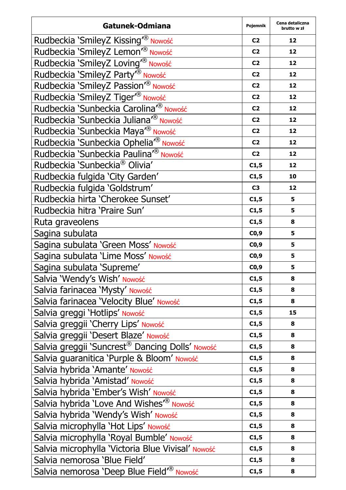| Gatunek-Odmiana                                             | Pojemnik       | Cena detaliczna<br>brutto w zł |
|-------------------------------------------------------------|----------------|--------------------------------|
| Rudbeckia 'SmileyZ Kissing <sup>®</sup> Nowość              | C <sub>2</sub> | 12                             |
| Rudbeckia 'SmileyZ Lemon <sup>r®</sup> Nowość               | C <sub>2</sub> | 12                             |
| Rudbeckia 'SmileyZ Loving <sup>r®</sup> Nowość              | C <sub>2</sub> | 12                             |
| Rudbeckia 'SmileyZ Party <sup>®</sup> Nowość                | C <sub>2</sub> | 12                             |
| Rudbeckia 'SmileyZ Passion <sup>®</sup> Nowość              | C <sub>2</sub> | 12                             |
| Rudbeckia 'SmileyZ Tiger <sup>r®</sup> Nowość               | C <sub>2</sub> | 12                             |
| Rudbeckia 'Sunbeckia Carolina <sup>r®</sup> Nowość          | C <sub>2</sub> | 12                             |
| Rudbeckia 'Sunbeckia Juliana <sup>r®</sup> Nowość           | C <sub>2</sub> | 12                             |
| Rudbeckia 'Sunbeckia Maya <sup>r®</sup> Nowość              | C <sub>2</sub> | 12                             |
| Rudbeckia 'Sunbeckia Ophelia <sup>r®</sup> Nowość           | C <sub>2</sub> | 12                             |
| Rudbeckia 'Sunbeckia Paulina <sup>r®</sup> Nowość           | C <sub>2</sub> | 12                             |
| Rudbeckia 'Sunbeckia® Olivia'                               | C1,5           | 12                             |
| Rudbeckia fulgida 'City Garden'                             | C1,5           | 10                             |
| Rudbeckia fulgida 'Goldstrum'                               | C <sub>3</sub> | 12                             |
| Rudbeckia hirta 'Cherokee Sunset'                           | C1,5           | 5                              |
| Rudbeckia hitra 'Praire Sun'                                | C1,5           | 5                              |
| Ruta graveolens                                             | C1,5           | 8                              |
| Sagina subulata                                             | CO,9           | 5                              |
| Sagina subulata 'Green Moss' Nowość                         | CO, 9          | 5                              |
| Sagina subulata 'Lime Moss' Nowość                          | CO, 9          | 5                              |
| Sagina subulata 'Supreme'                                   | CO,9           | 5                              |
| Salvia 'Wendy's Wish' Nowość                                | C1,5           | 8                              |
| Salvia farinacea 'Mysty' Nowość                             | C1,5           | 8                              |
| Salvia farinacea 'Velocity Blue' Nowość                     | C1,5           | 8                              |
| Salvia greggi 'Hotlips' Nowość                              | C1,5           | 15                             |
| Salvia greggii 'Cherry Lips' Nowość                         | C1,5           | 8                              |
| Salvia greggii 'Desert Blaze' Nowość                        | C1,5           | 8                              |
| Salvia greggii 'Suncrest <sup>®</sup> Dancing Dolls' Nowość | C1,5           | 8                              |
| Salvia guaranitica 'Purple & Bloom' Nowość                  | C1,5           | 8                              |
| Salvia hybrida 'Amante' Nowość                              | C1,5           | 8                              |
| Salvia hybrida 'Amistad' Nowość                             | C1,5           | 8                              |
| Salvia hybrida 'Ember's Wish' Nowość                        | C1,5           | 8                              |
| Salvia hybrida 'Love And Wishes <sup>"®</sup> Nowość        | C1,5           | 8                              |
| Salvia hybrida 'Wendy's Wish' Nowość                        | C1,5           | 8                              |
| Salvia microphylla 'Hot Lips' Nowość                        | C1,5           | 8                              |
| Salvia microphylla 'Royal Bumble' Nowość                    | C1,5           | 8                              |
| Salvia microphylla 'Victoria Blue Vivisal' Nowość           | C1,5           | 8                              |
| Salvia nemorosa 'Blue Field'                                | C1,5           | 8                              |
| Salvia nemorosa 'Deep Blue Field <sup>®</sup> Nowość        | C1,5           | 8                              |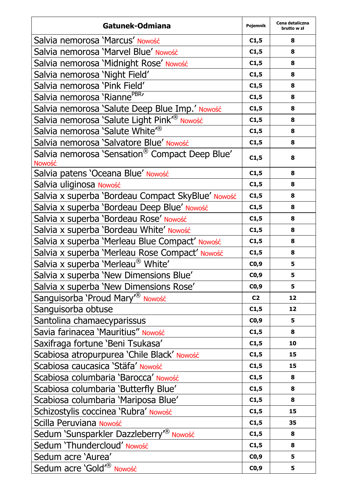| Gatunek-Odmiana                                          | Pojemnik       | Cena detaliczna<br>brutto w zł |
|----------------------------------------------------------|----------------|--------------------------------|
| Salvia nemorosa 'Marcus' Nowość                          | C1,5           | 8                              |
| Salvia nemorosa 'Marvel Blue' Nowość                     | C1,5           | 8                              |
| Salvia nemorosa 'Midnight Rose' Nowość                   | C1,5           | 8                              |
| Salvia nemorosa 'Night Field'                            | C1,5           | 8                              |
| Salvia nemorosa 'Pink Field'                             | C1,5           | 8                              |
| Salvia nemorosa 'Rianne <sup>PBR</sup> '                 | C1,5           | 8                              |
| Salvia nemorosa 'Salute Deep Blue Imp.' Nowość           | C1,5           | 8                              |
| Salvia nemorosa 'Salute Light Pink <sup>7®</sup> Nowość  | C1,5           | 8                              |
| Salvia nemorosa 'Salute White <sup>78</sup>              | C1,5           | 8                              |
| Salvia nemorosa 'Salvatore Blue' Nowość                  | C1,5           | 8                              |
| Salvia nemorosa 'Sensation® Compact Deep Blue'<br>Nowość | C1,5           | 8                              |
| Salvia patens 'Oceana Blue' Nowość                       | C1,5           | 8                              |
| Salvia uliginosa Nowość                                  | C1,5           | 8                              |
| Salvia x superba 'Bordeau Compact SkyBlue' Nowość        | C1,5           | 8                              |
| Salvia x superba 'Bordeau Deep Blue' Nowość              | C1,5           | 8                              |
| Salvia x superba 'Bordeau Rose' Nowość                   | C1,5           | 8                              |
| Salvia x superba 'Bordeau White' Nowość                  | C1,5           | 8                              |
| Salvia x superba 'Merleau Blue Compact' Nowość           | C1,5           | 8                              |
| Salvia x superba 'Merleau Rose Compact' Nowość           | C1,5           | 8                              |
| Salvia x superba 'Merleau® White'                        | CO,9           | 5                              |
| Salvia x superba 'New Dimensions Blue'                   | CO, 9          | 5                              |
| Salvia x superba 'New Dimensions Rose'                   | CO,9           | 5                              |
| Sanguisorba 'Proud Mary' <sup>®</sup> Nowość             | C <sub>2</sub> | 12                             |
| Sanguisorba obtuse                                       | C1,5           | 12                             |
| Santolina chamaecyparissus                               | CO,9           | 5                              |
| Savia farinacea 'Mauritius" Nowość                       | C1,5           | 8                              |
| Saxifraga fortune 'Beni Tsukasa'                         | C1,5           | 10                             |
| Scabiosa atropurpurea 'Chile Black' Nowość               | C1,5           | 15                             |
| Scabiosa caucasica 'Stäfa' Nowość                        | C1,5           | 15                             |
| Scabiosa columbaria 'Barocca' Nowość                     | C1,5           | 8                              |
| Scabiosa columbaria `Butterfly Blue'                     | C1,5           | 8                              |
| Scabiosa columbaria 'Mariposa Blue'                      | C1,5           | 8                              |
| Schizostylis coccinea 'Rubra' Nowość                     | C1,5           | 15                             |
| Scilla Peruviana Nowość                                  | C1,5           | 35                             |
| Sedum 'Sunsparkler Dazzleberry <sup>®</sup> Nowość       | C1,5           | 8                              |
| Sedum 'Thundercloud' Nowość                              | C1,5           | 8                              |
| Sedum acre 'Aurea'                                       | CO, 9          | 5                              |
| Sedum acre 'Gold <sup>®</sup> Nowość                     | CO,9           | 5                              |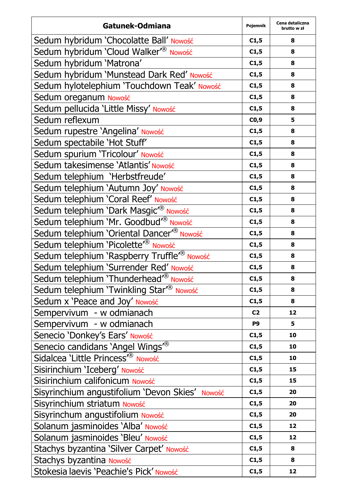| Gatunek-Odmiana                                         | Pojemnik       | Cena detaliczna<br>brutto w zł |
|---------------------------------------------------------|----------------|--------------------------------|
| Sedum hybridum 'Chocolatte Ball' Nowość                 | C1,5           | 8                              |
| Sedum hybridum 'Cloud Walker <sup>®</sup> Nowość        | C1,5           | 8                              |
| Sedum hybridum 'Matrona'                                | C1,5           | 8                              |
| Sedum hybridum 'Munstead Dark Red' Nowość               | C1,5           | 8                              |
| Sedum hylotelephium 'Touchdown Teak' Nowość             | C1,5           | 8                              |
| Sedum oreganum Nowość                                   | C1,5           | 8                              |
| Sedum pellucida 'Little Missy' Nowość                   | C1,5           | 8                              |
| Sedum reflexum                                          | CO,9           | 5                              |
| Sedum rupestre 'Angelina' Nowość                        | C1,5           | 8                              |
| Sedum spectabile 'Hot Stuff'                            | C1,5           | 8                              |
| Sedum spurium 'Tricolour' Nowość                        | C1,5           | 8                              |
| Sedum takesimense 'Atlantis' Nowość                     | C1,5           | 8                              |
| Sedum telephium 'Herbstfreude'                          | C1,5           | 8                              |
| Sedum telephium 'Autumn Joy' Nowość                     | C1,5           | 8                              |
| Sedum telephium 'Coral Reef' Nowość                     | C1,5           | 8                              |
| Sedum telephium 'Dark Masgic <sup>"®</sup> Nowość       | C1,5           | 8                              |
| Sedum telephium 'Mr. Goodbud <sup>r®</sup> Nowość       | C1,5           | 8                              |
| Sedum telephium 'Oriental Dancer <sup>r®</sup> Nowość   | C1,5           | 8                              |
| Sedum telephium 'Picolette' <sup>®</sup> Nowość         | C1,5           | 8                              |
| Sedum telephium 'Raspberry Truffle <sup>(®</sup> Nowość | C1,5           | 8                              |
| Sedum telephium 'Surrender Red' Nowość                  | C1,5           | 8                              |
| Sedum telephium 'Thunderhead <sup>®</sup> Nowość        | C1,5           | 8                              |
| Sedum telephium 'Twinkling Star <sup>®</sup> Nowość     | C1,5           | 8                              |
| Sedum x 'Peace and Joy' Nowość                          | C1,5           | 8                              |
| Sempervivum - w odmianach                               | C <sub>2</sub> | 12                             |
| Sempervivum - w odmianach                               | P9             | 5                              |
| Senecio 'Donkey's Ears' Nowość                          | C1,5           | 10                             |
| Senecio candidans 'Angel Wings <sup>"®</sup>            | C1,5           | 10                             |
| Sidalcea 'Little Princess <sup>"®</sup> Nowość          | C1,5           | 10                             |
| Sisirinchium 'Iceberg' Nowość                           | C1,5           | 15                             |
| Sisirinchium califonicum Nowość                         | C1,5           | 15                             |
| Sisyrinchium angustifolium 'Devon Skies' Nowość         | C1,5           | 20                             |
| Sisyrinchium striatum Nowość                            | C1,5           | 20                             |
| Sisyrinchum angustifolium Nowość                        | C1,5           | 20                             |
| Solanum jasminoides 'Alba' Nowość                       | C1,5           | 12                             |
| Solanum jasminoides 'Bleu' Nowość                       | C1,5           | 12                             |
| Stachys byzantina 'Silver Carpet' Nowość                | C1,5           | 8                              |
| Stachys byzantina Nowość                                | C1,5           | 8                              |
| Stokesia laevis 'Peachie's Pick' Nowość                 | C1,5           | 12                             |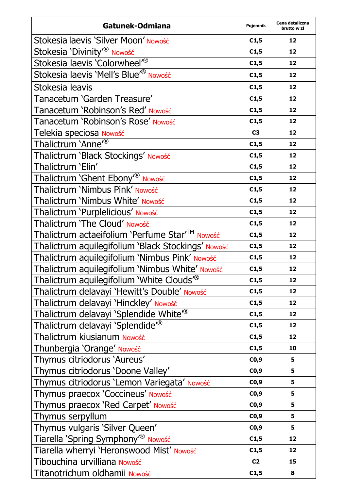| Gatunek-Odmiana                                           | Pojemnik       | Cena detaliczna<br>brutto w zł |
|-----------------------------------------------------------|----------------|--------------------------------|
| Stokesia laevis 'Silver Moon' Nowość                      | C1,5           | 12                             |
| Stokesia 'Divinity <sup>®</sup> Nowość                    | C1,5           | 12                             |
| Stokesia laevis 'Colorwheel <sup>®</sup>                  | C1,5           | 12                             |
| Stokesia laevis 'Mell's Blue <sup>r®</sup> Nowość         | C1,5           | 12                             |
| Stokesia leavis                                           | C1,5           | 12                             |
| Tanacetum 'Garden Treasure'                               | C1,5           | 12                             |
| Tanacetum 'Robinson's Red' Nowość                         | C1,5           | 12                             |
| Tanacetum 'Robinson's Rose' Nowość                        | C1,5           | 12                             |
| Telekia speciosa Nowość                                   | C <sub>3</sub> | 12                             |
| Thalictrum 'Anne <sup>®</sup>                             | C1,5           | 12                             |
| Thalictrum 'Black Stockings' Nowość                       | C1,5           | 12                             |
| Thalictrum 'Elin'                                         | C1,5           | 12                             |
| Thalictrum 'Ghent Ebony <sup>®</sup> Nowość               | C1,5           | 12                             |
| Thalictrum 'Nimbus Pink' Nowość                           | C1,5           | 12                             |
| Thalictrum 'Nimbus White' Nowość                          | C1,5           | 12                             |
| Thalictrum 'Purplelicious' Nowość                         | C1,5           | 12                             |
| Thalictrum 'The Cloud' Nowość                             | C1,5           | 12                             |
| Thalictrum actaeifolium 'Perfume Star <sup>™</sup> Nowość | C1,5           | 12                             |
| Thalictrum aquilegifolium 'Black Stockings' Nowość        | C1,5           | 12                             |
| Thalictrum aquilegifolium 'Nimbus Pink' Nowość            | C1,5           | 12                             |
| Thalictrum aquilegifolium 'Nimbus White' Nowość           | C1,5           | 12                             |
| Thalictrum aquilegifolium 'White Clouds <sup>®</sup>      | C1,5           | 12                             |
| Thalictrum delavayi 'Hewitt's Double' Nowość              | C1,5           | 12                             |
| Thalictrum delavayi 'Hinckley' Nowość                     | C1,5           | 12                             |
| Thalictrum delavayi 'Splendide White <sup>7®</sup>        | C1,5           | 12                             |
| Thalictrum delavayi 'Splendide <sup>®</sup>               | C1,5           | 12                             |
| Thalictrum kiusianum Nowość                               | C1,5           | 12                             |
| Thunbergia 'Orange' Nowość                                | C1,5           | 10                             |
| Thymus citriodorus 'Aureus'                               | CO,9           | 5                              |
| Thymus citriodorus 'Doone Valley'                         | CO,9           | 5                              |
| Thymus citriodorus 'Lemon Variegata' Nowość               | CO,9           | 5                              |
| Thymus praecox 'Coccineus' Nowość                         | CO, 9          | 5                              |
| Thymus praecox 'Red Carpet' Nowość                        | CO,9           | 5                              |
| Thymus serpyllum                                          | CO, 9          | 5                              |
| Thymus vulgaris 'Silver Queen'                            | C0,9           | 5                              |
| Tiarella 'Spring Symphony <sup>®</sup> Nowość             | C1,5           | 12                             |
| Tiarella wherryi 'Heronswood Mist' Nowość                 | C1,5           | 12                             |
| Tibouchina urvilliana Nowość                              | C <sub>2</sub> | 15                             |
| Titanotrichum oldhamii Nowość                             | C1,5           | 8                              |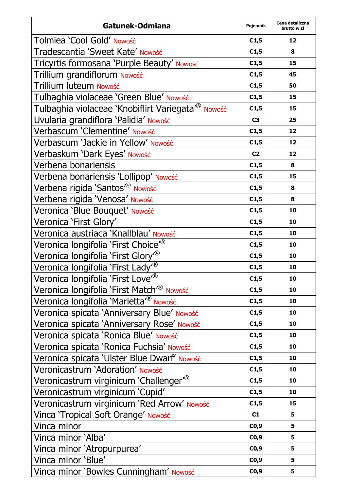| Gatunek-Odmiana                                                | Pojemnik       | Cena detaliczna<br>brutto w zł |
|----------------------------------------------------------------|----------------|--------------------------------|
| Tolmiea 'Cool Gold' Nowość                                     | C1,5           | 12                             |
| Tradescantia 'Sweet Kate' Nowość                               | C1,5           | 8                              |
| Tricyrtis formosana 'Purple Beauty' Nowość                     | C1,5           | 15                             |
| Trillium grandiflorum Nowość                                   | C1,5           | 45                             |
| Trillium luteum Nowość                                         | C1,5           | 50                             |
| Tulbaghia violaceae 'Green Blue' Nowość                        | C1,5           | 15                             |
| Tulbaghia violaceae 'Knobiflirt Variegata <sup>r®</sup> Nowość | C1,5           | 15                             |
| Uvularia grandiflora 'Palidia' Nowość                          | C <sub>3</sub> | 25                             |
| Verbascum 'Clementine' Nowość                                  | C1,5           | 12                             |
| Verbascum 'Jackie in Yellow' Nowość                            | C1,5           | 12                             |
| Verbaskum 'Dark Eyes' Nowość                                   | C <sub>2</sub> | 12                             |
| Verbena bonariensis                                            | C1,5           | 8                              |
| Verbena bonariensis 'Lollipop' Nowość                          | C1,5           | 15                             |
| Verbena rigida 'Santos <sup>r®</sup> Nowość                    | C1,5           | 8                              |
| Verbena rigida 'Venosa' Nowość                                 | C1,5           | 8                              |
| Veronica 'Blue Bouquet' Nowość                                 | C1,5           | 10                             |
| Veronica 'First Glory'                                         | C1,5           | 10                             |
| Veronica austriaca 'Knallblau' Nowość                          | C1,5           | 10                             |
| Veronica longifolia 'First Choice <sup>"®</sup>                | C1,5           | 10                             |
| Veronica longifolia 'First Glory <sup>®</sup>                  | C1,5           | 10                             |
| Veronica longifolia 'First Lady <sup>®</sup>                   | C1,5           | 10                             |
| Veronica longifolia 'First Love' <sup>®</sup>                  | C1,5           | 10                             |
| Veronica longifolia 'First Match <sup>7®</sup> Nowość          | C1,5           | 10                             |
| Veronica longifolia 'Marietta'® Nowość                         | C1,5           | 10                             |
| Veronica spicata 'Anniversary Blue' Nowość                     | C1,5           | 10                             |
| Veronica spicata 'Anniversary Rose' Nowość                     | C1,5           | 10                             |
| Veronica spicata 'Ronica Blue' Nowość                          | C1,5           | 10                             |
| Veronica spicata 'Ronica Fuchsia' Nowość                       | C1,5           | 10                             |
| Veronica spicata 'Ulster Blue Dwarf' Nowość                    | C1,5           | 10                             |
| Veronicastrum 'Adoration' Nowość                               | C1,5           | 10                             |
| Veronicastrum virginicum 'Challenger <sup>®</sup>              | C1,5           | 10                             |
| Veronicastrum virginicum 'Cupid'                               | C1,5           | 10                             |
| Veronicastrum virginicum 'Red Arrow' Nowość                    | C1,5           | 15                             |
| Vinca 'Tropical Soft Orange' Nowość                            | C1             | 5                              |
| Vinca minor                                                    | CO,9           | 5                              |
| Vinca minor 'Alba'                                             | CO,9           | 5                              |
| Vinca minor 'Atropurpurea'                                     | CO,9           | 5                              |
| Vinca minor 'Blue'                                             | CO,9           | 5                              |
| Vinca minor 'Bowles Cunningham' Nowość                         | CO,9           | 5                              |